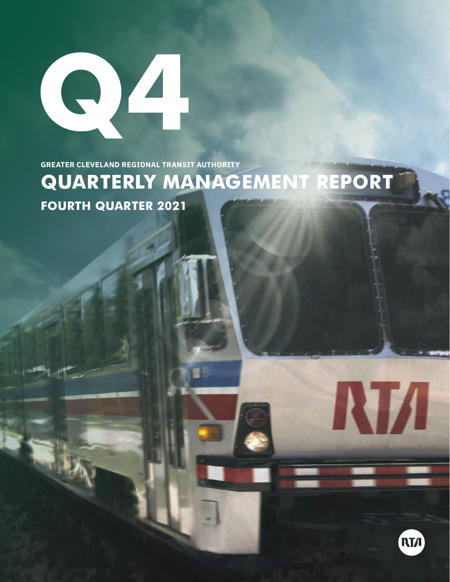

**GREATER CLEVELAND REGIONAL TRANSIT AUTHORITY**

# **QUARTERLY MANAGEMENT REPORT FOURTH QUARTER 2021**



**RTA**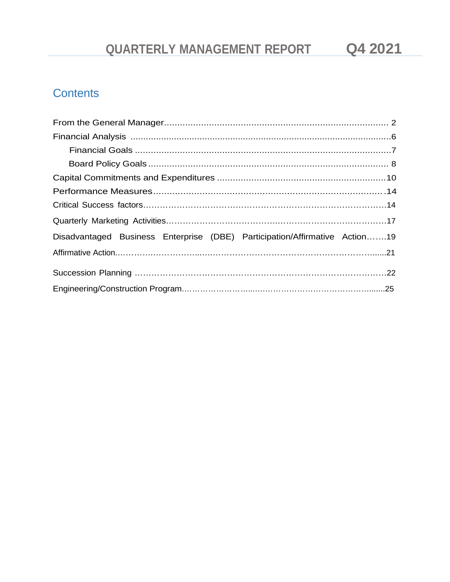## **Contents**

| Disadvantaged Business Enterprise (DBE) Participation/Affirmative Action19 |  |
|----------------------------------------------------------------------------|--|
|                                                                            |  |
|                                                                            |  |
|                                                                            |  |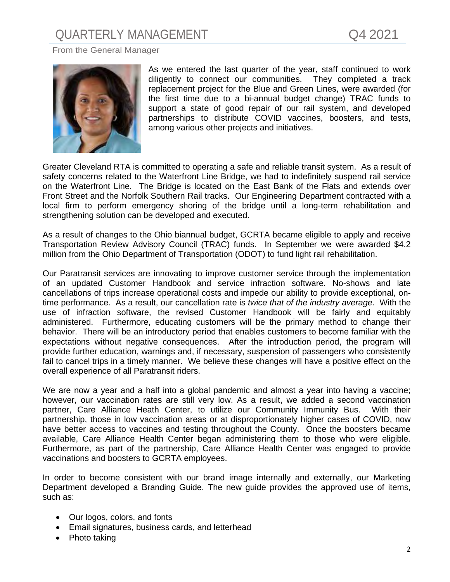#### <span id="page-2-0"></span>From the General Manager



As we entered the last quarter of the year, staff continued to work diligently to connect our communities. They completed a track replacement project for the Blue and Green Lines, were awarded (for the first time due to a bi-annual budget change) TRAC funds to support a state of good repair of our rail system, and developed partnerships to distribute COVID vaccines, boosters, and tests, among various other projects and initiatives.

Greater Cleveland RTA is committed to operating a safe and reliable transit system. As a result of safety concerns related to the Waterfront Line Bridge, we had to indefinitely suspend rail service on the Waterfront Line. The Bridge is located on the East Bank of the Flats and extends over Front Street and the Norfolk Southern Rail tracks. Our Engineering Department contracted with a local firm to perform emergency shoring of the bridge until a long-term rehabilitation and strengthening solution can be developed and executed.

As a result of changes to the Ohio biannual budget, GCRTA became eligible to apply and receive Transportation Review Advisory Council (TRAC) funds. In September we were awarded \$4.2 million from the Ohio Department of Transportation (ODOT) to fund light rail rehabilitation.

Our Paratransit services are innovating to improve customer service through the implementation of an updated Customer Handbook and service infraction software. No-shows and late cancellations of trips increase operational costs and impede our ability to provide exceptional, ontime performance. As a result, our cancellation rate is *twice that of the industry average*. With the use of infraction software, the revised Customer Handbook will be fairly and equitably administered. Furthermore, educating customers will be the primary method to change their behavior. There will be an introductory period that enables customers to become familiar with the expectations without negative consequences. After the introduction period, the program will provide further education, warnings and, if necessary, suspension of passengers who consistently fail to cancel trips in a timely manner. We believe these changes will have a positive effect on the overall experience of all Paratransit riders.

We are now a year and a half into a global pandemic and almost a year into having a vaccine; however, our vaccination rates are still very low. As a result, we added a second vaccination partner, Care Alliance Heath Center, to utilize our Community Immunity Bus. With their partnership, those in low vaccination areas or at disproportionately higher cases of COVID, now have better access to vaccines and testing throughout the County. Once the boosters became available, Care Alliance Health Center began administering them to those who were eligible. Furthermore, as part of the partnership, Care Alliance Health Center was engaged to provide vaccinations and boosters to GCRTA employees.

In order to become consistent with our brand image internally and externally, our Marketing Department developed a Branding Guide. The new guide provides the approved use of items, such as:

- Our logos, colors, and fonts
- Email signatures, business cards, and letterhead
- Photo taking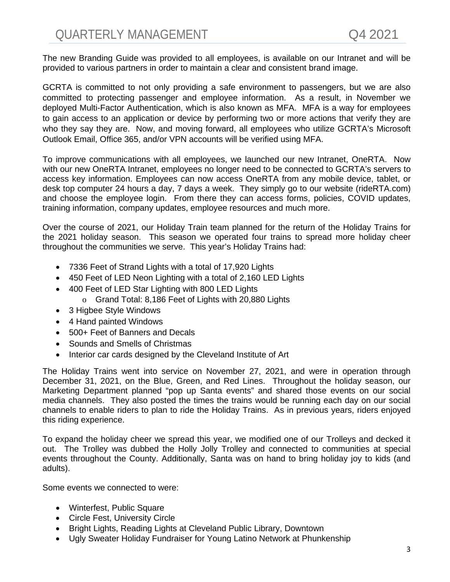The new Branding Guide was provided to all employees, is available on our Intranet and will be provided to various partners in order to maintain a clear and consistent brand image.

GCRTA is committed to not only providing a safe environment to passengers, but we are also committed to protecting passenger and employee information. As a result, in November we deployed Multi-Factor Authentication, which is also known as MFA. MFA is a way for employees to gain access to an application or device by performing two or more actions that verify they are who they say they are. Now, and moving forward, all employees who utilize GCRTA's Microsoft Outlook Email, Office 365, and/or VPN accounts will be verified using MFA.

To improve communications with all employees, we launched our new Intranet, OneRTA. Now with our new OneRTA Intranet, employees no longer need to be connected to GCRTA's servers to access key information. Employees can now access OneRTA from any mobile device, tablet, or desk top computer 24 hours a day, 7 days a week. They simply go to our website (rideRTA.com) and choose the employee login. From there they can access forms, policies, COVID updates, training information, company updates, employee resources and much more.

Over the course of 2021, our Holiday Train team planned for the return of the Holiday Trains for the 2021 holiday season. This season we operated four trains to spread more holiday cheer throughout the communities we serve. This year's Holiday Trains had:

- 7336 Feet of Strand Lights with a total of 17,920 Lights
- 450 Feet of LED Neon Lighting with a total of 2,160 LED Lights
- 400 Feet of LED Star Lighting with 800 LED Lights
	- o Grand Total: 8,186 Feet of Lights with 20,880 Lights
- 3 Higbee Style Windows
- 4 Hand painted Windows
- 500+ Feet of Banners and Decals
- Sounds and Smells of Christmas
- Interior car cards designed by the Cleveland Institute of Art

The Holiday Trains went into service on November 27, 2021, and were in operation through December 31, 2021, on the Blue, Green, and Red Lines. Throughout the holiday season, our Marketing Department planned "pop up Santa events" and shared those events on our social media channels. They also posted the times the trains would be running each day on our social channels to enable riders to plan to ride the Holiday Trains. As in previous years, riders enjoyed this riding experience.

To expand the holiday cheer we spread this year, we modified one of our Trolleys and decked it out. The Trolley was dubbed the Holly Jolly Trolley and connected to communities at special events throughout the County. Additionally, Santa was on hand to bring holiday joy to kids (and adults).

Some events we connected to were:

- Winterfest, Public Square
- Circle Fest, University Circle
- Bright Lights, Reading Lights at Cleveland Public Library, Downtown
- Ugly Sweater Holiday Fundraiser for Young Latino Network at Phunkenship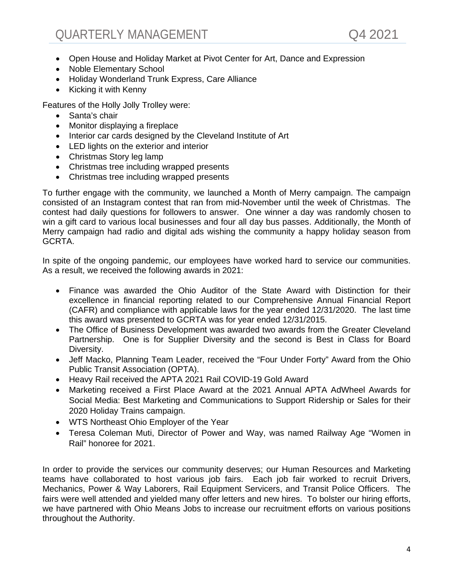- Open House and Holiday Market at Pivot Center for Art, Dance and Expression
- Noble Elementary School
- Holiday Wonderland Trunk Express, Care Alliance
- Kicking it with Kenny

Features of the Holly Jolly Trolley were:

- Santa's chair
- Monitor displaying a fireplace
- Interior car cards designed by the Cleveland Institute of Art
- LED lights on the exterior and interior
- Christmas Story leg lamp
- Christmas tree including wrapped presents
- Christmas tree including wrapped presents

To further engage with the community, we launched a Month of Merry campaign. The campaign consisted of an Instagram contest that ran from mid-November until the week of Christmas. The contest had daily questions for followers to answer. One winner a day was randomly chosen to win a gift card to various local businesses and four all day bus passes. Additionally, the Month of Merry campaign had radio and digital ads wishing the community a happy holiday season from GCRTA.

In spite of the ongoing pandemic, our employees have worked hard to service our communities. As a result, we received the following awards in 2021:

- Finance was awarded the Ohio Auditor of the State Award with Distinction for their excellence in financial reporting related to our Comprehensive Annual Financial Report (CAFR) and compliance with applicable laws for the year ended 12/31/2020. The last time this award was presented to GCRTA was for year ended 12/31/2015.
- The Office of Business Development was awarded two awards from the Greater Cleveland Partnership. One is for Supplier Diversity and the second is Best in Class for Board Diversity.
- Jeff Macko, Planning Team Leader, received the "Four Under Forty" Award from the Ohio Public Transit Association (OPTA).
- Heavy Rail received the APTA 2021 Rail COVID-19 Gold Award
- Marketing received a First Place Award at the 2021 Annual APTA AdWheel Awards for Social Media: Best Marketing and Communications to Support Ridership or Sales for their 2020 Holiday Trains campaign.
- WTS Northeast Ohio Employer of the Year
- Teresa Coleman Muti, Director of Power and Way, was named Railway Age "Women in Rail" honoree for 2021.

In order to provide the services our community deserves; our Human Resources and Marketing teams have collaborated to host various job fairs. Each job fair worked to recruit Drivers, Mechanics, Power & Way Laborers, Rail Equipment Servicers, and Transit Police Officers. The fairs were well attended and yielded many offer letters and new hires. To bolster our hiring efforts, we have partnered with Ohio Means Jobs to increase our recruitment efforts on various positions throughout the Authority.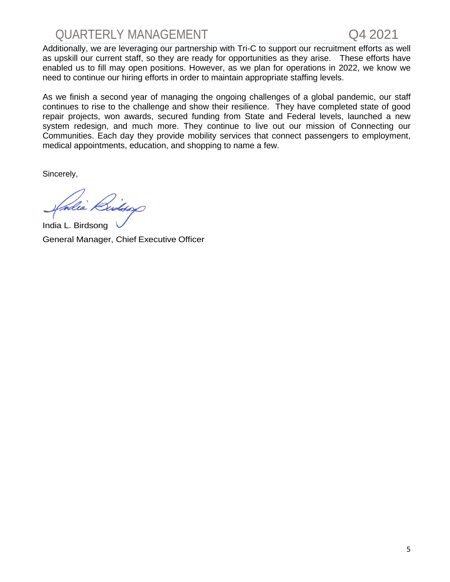

Additionally, we are leveraging our partnership with Tri-C to support our recruitment efforts as well as upskill our current staff, so they are ready for opportunities as they arise. These efforts have enabled us to fill may open positions. However, as we plan for operations in 2022, we know we need to continue our hiring efforts in order to maintain appropriate staffing levels.

As we finish a second year of managing the ongoing challenges of a global pandemic, our staff continues to rise to the challenge and show their resilience. They have completed state of good repair projects, won awards, secured funding from State and Federal levels, launched a new system redesign, and much more. They continue to live out our mission of Connecting our Communities. Each day they provide mobility services that connect passengers to employment, medical appointments, education, and shopping to name a few.

Sincerely,

India L. Birdsong General Manager, Chief Executive Officer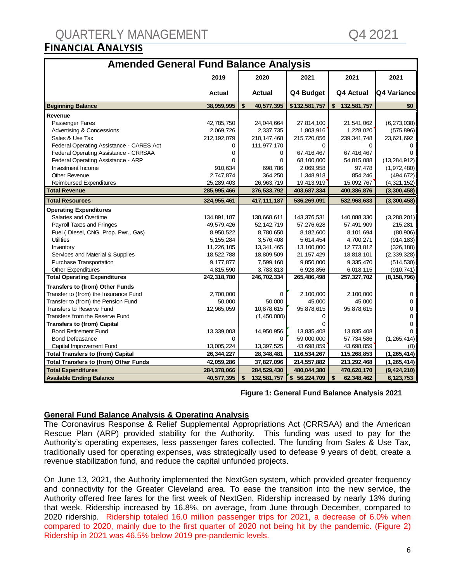| <b>Amended General Fund Balance Analysis</b> |               |                   |                  |                   |                |
|----------------------------------------------|---------------|-------------------|------------------|-------------------|----------------|
|                                              | 2019          | 2020              | 2021             | 2021              | 2021           |
|                                              | <b>Actual</b> | <b>Actual</b>     | Q4 Budget        | Q4 Actual         | Q4 Variance    |
| <b>Beginning Balance</b>                     | 38,959,995    | \$<br>40,577,395  | \$132,581,757    | 132,581,757<br>\$ | \$0            |
| Revenue                                      |               |                   |                  |                   |                |
| Passenger Fares                              | 42,785,750    | 24,044,664        | 27,814,100       | 21,541,062        | (6,273,038)    |
| Advertising & Concessions                    | 2,069,726     | 2,337,735         | 1,803,916        | 1,228,020         | (575, 896)     |
| Sales & Use Tax                              | 212,192,079   | 210, 147, 468     | 215,720,056      | 239,341,748       | 23,621,692     |
| Federal Operating Assistance - CARES Act     | 0             | 111,977,170       | 0                | 0                 | 0              |
| Federal Operating Assistance - CRRSAA        | 0             | 0                 | 67,416,467       | 67,416,467        | <sup>0</sup>   |
| Federal Operating Assistance - ARP           | U             | $\mathbf 0$       | 68,100,000       | 54,815,088        | (13, 284, 912) |
| Investment Income                            | 910,634       | 698,786           | 2,069,958        | 97,478            | (1,972,480)    |
| <b>Other Revenue</b>                         | 2,747,874     | 364,250           | 1,348,918        | 854,246           | (494, 672)     |
| <b>Reimbursed Expenditures</b>               | 25,289,403    | 26,963,719        | 19,413,919       | 15,092,767        | (4,321,152)    |
| <b>Total Revenue</b>                         | 285,995,466   | 376,533,792       | 403,687,334      | 400,386,876       | (3,300,458)    |
| <b>Total Resources</b>                       | 324,955,461   | 417, 111, 187     | 536,269,091      | 532,968,633       | (3,300,458)    |
| <b>Operating Expenditures</b>                |               |                   |                  |                   |                |
| Salaries and Overtime                        | 134,891,187   | 138,668,611       | 143,376,531      | 140,088,330       | (3,288,201)    |
| Payroll Taxes and Fringes                    | 49,579,426    | 52,142,719        | 57,276,628       | 57,491,909        | 215,281        |
| Fuel (Diesel, CNG, Prop. Pwr., Gas)          | 8,950,522     | 8,780,650         | 8,182,600        | 8,101,694         | (80,906)       |
| <b>Utilities</b>                             | 5,155,284     | 3,576,408         | 5,614,454        | 4,700,271         | (914, 183)     |
| Inventory                                    | 11,226,105    | 13,341,465        | 13,100,000       | 12,773,812        | (326, 188)     |
| Services and Material & Supplies             | 18,522,788    | 18,809,509        | 21, 157, 429     | 18,818,101        | (2,339,328)    |
| Purchase Transportation                      | 9,177,877     | 7,599,160         | 9,850,000        | 9,335,470         | (514, 530)     |
| <b>Other Expenditures</b>                    | 4,815,590     | 3,783,813         | 6,928,856        | 6,018,115         | (910, 741)     |
| <b>Total Operating Expenditures</b>          | 242,318,780   | 246,702,334       | 265,486,498      | 257,327,702       | (8, 158, 796)  |
| Transfers to (from) Other Funds              |               |                   |                  |                   |                |
| Transfer to (from) the Insurance Fund        | 2,700,000     | $\mathbf 0$       | 2,100,000        | 2,100,000         | $\mathbf 0$    |
| Transfer to (from) the Pension Fund          | 50,000        | 50,000            | 45,000           | 45,000            | 0              |
| <b>Transfers to Reserve Fund</b>             | 12,965,059    | 10,878,615        | 95,878,615       | 95,878,615        | 0              |
| Transfers from the Reserve Fund              |               | (1,450,000)       | 0                |                   | 0              |
| <b>Transfers to (from) Capital</b>           |               |                   | ი                |                   | $\Omega$       |
| <b>Bond Retirement Fund</b>                  | 13,339,003    | 14,950,956        | 13,835,408       | 13,835,408        |                |
| <b>Bond Defeasance</b>                       | <sup>0</sup>  | $\Omega$          | 59,000,000       | 57,734,586        | (1, 265, 414)  |
| Capital Improvement Fund                     | 13,005,224    | 13,397,525        | 43,698,859       | 43,698,859        | (0)            |
| <b>Total Transfers to (from) Capital</b>     | 26,344,227    | 28,348,481        | 116,534,267      | 115,268,853       | (1, 265, 414)  |
| <b>Total Transfers to (from) Other Funds</b> | 42,059,286    | 37,827,096        | 214,557,882      | 213,292,468       | (1, 265, 414)  |
| <b>Total Expenditures</b>                    | 284,378,066   | 284,529,430       | 480,044,380      | 470,620,170       | (9, 424, 210)  |
| <b>Available Ending Balance</b>              | 40,577,395    | \$<br>132,581,757 | \$<br>56,224,709 | \$<br>62,348,462  | 6,123,753      |

#### **Figure 1: General Fund Balance Analysis 2021**

## **General Fund Balance Analysis & Operating Analysis**

The Coronavirus Response & Relief Supplemental Appropriations Act (CRRSAA) and the American Rescue Plan (ARP) provided stability for the Authority. This funding was used to pay for the Authority's operating expenses, less passenger fares collected. The funding from Sales & Use Tax, traditionally used for operating expenses, was strategically used to defease 9 years of debt, create a revenue stabilization fund, and reduce the capital unfunded projects.

On June 13, 2021, the Authority implemented the NextGen system, which provided greater frequency and connectivity for the Greater Cleveland area. To ease the transition into the new service, the Authority offered free fares for the first week of NextGen. Ridership increased by nearly 13% during that week. Ridership increased by 16.8%, on average, from June through December, compared to 2020 ridership. Ridership totaled 16.0 million passenger trips for 2021, a decrease of 6.0% when compared to 2020, mainly due to the first quarter of 2020 not being hit by the pandemic. (Figure 2) Ridership in 2021 was 46.5% below 2019 pre-pandemic levels.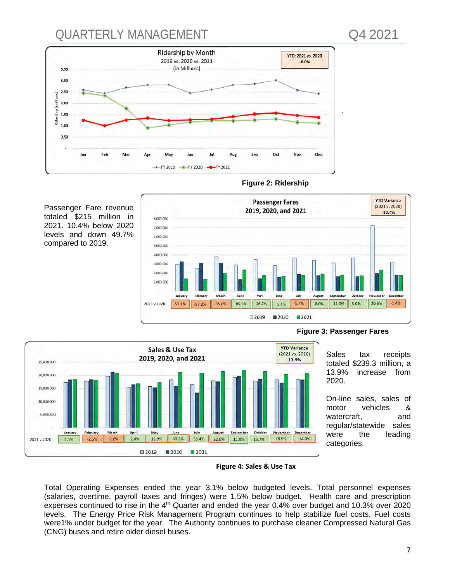

#### **Figure 2: Ridership**

Passenger Fare revenue totaled \$215 million in 2021. 10.4% below 2020 levels and down 49.7% compared to 2019.





**Figure 3: Passenger Fares**

Sales tax receipts totaled \$239.3 million, a<br>13.9% increase from increase 2020.

On-line sales, sales of motor vehicles & watercraft, and regular/statewide sales were the leading categories.

**Figure 4: Sales & Use Tax**

Total Operating Expenses ended the year 3.1% below budgeted levels. Total personnel expenses (salaries, overtime, payroll taxes and fringes) were 1.5% below budget. Health care and prescription expenses continued to rise in the 4<sup>th</sup> Quarter and ended the year 0.4% over budget and 10.3% over 2020 levels. The Energy Price Risk Management Program continues to help stabilize fuel costs. Fuel costs were1% under budget for the year. The Authority continues to purchase cleaner Compressed Natural Gas (CNG) buses and retire older diesel buses.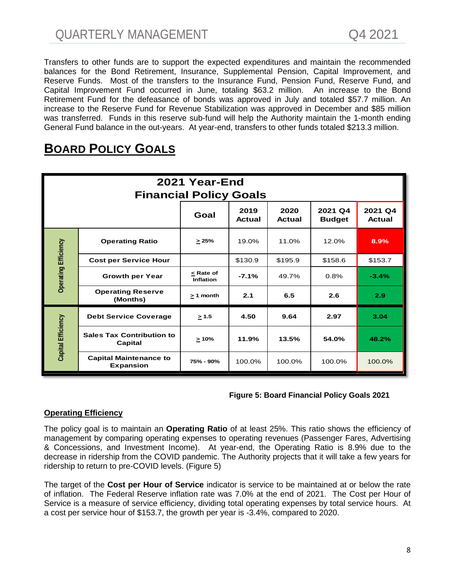Transfers to other funds are to support the expected expenditures and maintain the recommended balances for the Bond Retirement, Insurance, Supplemental Pension, Capital Improvement, and Reserve Funds. Most of the transfers to the Insurance Fund, Pension Fund, Reserve Fund, and Capital Improvement Fund occurred in June, totaling \$63.2 million. An increase to the Bond Retirement Fund for the defeasance of bonds was approved in July and totaled \$57.7 million. An increase to the Reserve Fund for Revenue Stabilization was approved in December and \$85 million was transferred. Funds in this reserve sub-fund will help the Authority maintain the 1-month ending General Fund balance in the out-years. At year-end, transfers to other funds totaled \$213.3 million.

| 2021 Year-End<br><b>Financial Policy Goals</b> |                                                   |                               |                |                       |                          |                   |
|------------------------------------------------|---------------------------------------------------|-------------------------------|----------------|-----------------------|--------------------------|-------------------|
|                                                |                                                   | Goal                          | 2019<br>Actual | 2020<br><b>Actual</b> | 2021 Q4<br><b>Budget</b> | 2021 Q4<br>Actual |
|                                                | <b>Operating Ratio</b>                            | >25%                          | 19.0%          | 11.0%                 | 12.0%                    | 8.9%              |
|                                                | <b>Cost per Service Hour</b>                      |                               | \$130.9        | \$195.9               | \$158.6                  | \$153.7           |
| <b>Operating Efficiency</b>                    | <b>Growth per Year</b>                            | < Rate of<br><b>Inflation</b> | $-7.1%$        | 49.7%                 | 0.8%                     | $-3.4%$           |
|                                                | <b>Operating Reserve</b><br>(Months)              | $> 1$ month                   | 2.1            | 6.5                   | 2.6                      | 2.9               |
|                                                | <b>Debt Service Coverage</b>                      | $\geq 1.5$                    | 4.50           | 9.64                  | 2.97                     | 3.04              |
| Capital Efficiency                             | <b>Sales Tax Contribution to</b><br>Capital       | $\geq 10\%$                   | 11.9%          | 13.5%                 | 54.0%                    | 48.2%             |
|                                                | <b>Capital Maintenance to</b><br><b>Expansion</b> | 75% - 90%                     | 100.0%         | 100.0%                | 100.0%                   | 100.0%            |

## **BOARD POLICY GOALS**

#### **Figure 5: Board Financial Policy Goals 2021**

## **Operating Efficiency**

The policy goal is to maintain an **Operating Ratio** of at least 25%. This ratio shows the efficiency of management by comparing operating expenses to operating revenues (Passenger Fares, Advertising & Concessions, and Investment Income). At year-end, the Operating Ratio is 8.9% due to the decrease in ridership from the COVID pandemic. The Authority projects that it will take a few years for ridership to return to pre-COVID levels. (Figure 5)

The target of the **Cost per Hour of Service** indicator is service to be maintained at or below the rate of inflation. The Federal Reserve inflation rate was 7.0% at the end of 2021. The Cost per Hour of Service is a measure of service efficiency, dividing total operating expenses by total service hours. At a cost per service hour of \$153.7, the growth per year is -3.4%, compared to 2020.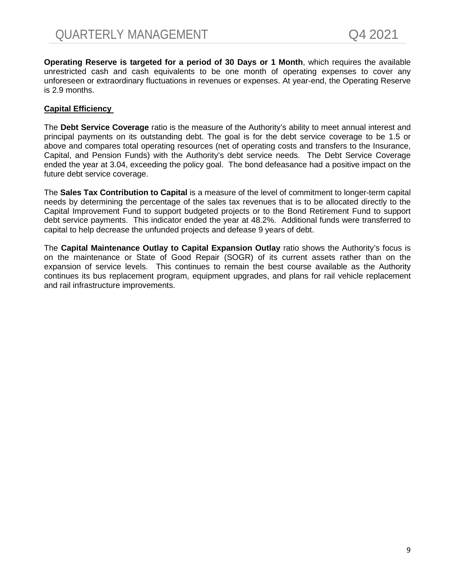**Operating Reserve is targeted for a period of 30 Days or 1 Month**, which requires the available unrestricted cash and cash equivalents to be one month of operating expenses to cover any unforeseen or extraordinary fluctuations in revenues or expenses. At year-end, the Operating Reserve is 2.9 months.

#### **Capital Efficiency**

The **Debt Service Coverage** ratio is the measure of the Authority's ability to meet annual interest and principal payments on its outstanding debt. The goal is for the debt service coverage to be 1.5 or above and compares total operating resources (net of operating costs and transfers to the Insurance, Capital, and Pension Funds) with the Authority's debt service needs. The Debt Service Coverage ended the year at 3.04, exceeding the policy goal. The bond defeasance had a positive impact on the future debt service coverage.

The **Sales Tax Contribution to Capital** is a measure of the level of commitment to longer-term capital needs by determining the percentage of the sales tax revenues that is to be allocated directly to the Capital Improvement Fund to support budgeted projects or to the Bond Retirement Fund to support debt service payments. This indicator ended the year at 48.2%. Additional funds were transferred to capital to help decrease the unfunded projects and defease 9 years of debt.

The **Capital Maintenance Outlay to Capital Expansion Outlay** ratio shows the Authority's focus is on the maintenance or State of Good Repair (SOGR) of its current assets rather than on the expansion of service levels. This continues to remain the best course available as the Authority continues its bus replacement program, equipment upgrades, and plans for rail vehicle replacement and rail infrastructure improvements.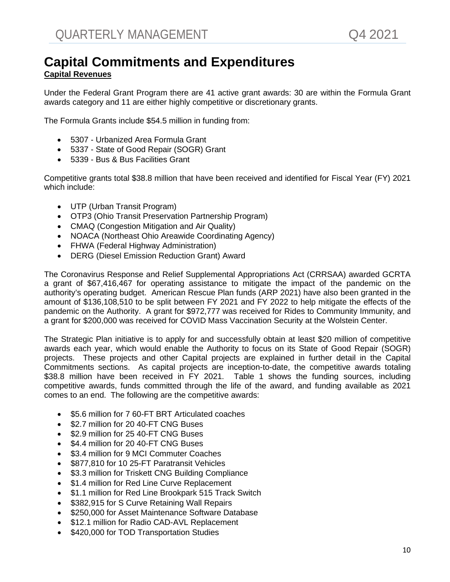## **Capital Commitments and Expenditures Capital Revenues**

Under the Federal Grant Program there are 41 active grant awards: 30 are within the Formula Grant awards category and 11 are either highly competitive or discretionary grants.

The Formula Grants include \$54.5 million in funding from:

- 5307 Urbanized Area Formula Grant
- 5337 State of Good Repair (SOGR) Grant
- 5339 Bus & Bus Facilities Grant

Competitive grants total \$38.8 million that have been received and identified for Fiscal Year (FY) 2021 which include:

- UTP (Urban Transit Program)
- OTP3 (Ohio Transit Preservation Partnership Program)
- CMAQ (Congestion Mitigation and Air Quality)
- NOACA (Northeast Ohio Areawide Coordinating Agency)
- FHWA (Federal Highway Administration)
- DERG (Diesel Emission Reduction Grant) Award

The Coronavirus Response and Relief Supplemental Appropriations Act (CRRSAA) awarded GCRTA a grant of \$67,416,467 for operating assistance to mitigate the impact of the pandemic on the authority's operating budget. American Rescue Plan funds (ARP 2021) have also been granted in the amount of \$136,108,510 to be split between FY 2021 and FY 2022 to help mitigate the effects of the pandemic on the Authority. A grant for \$972,777 was received for Rides to Community Immunity, and a grant for \$200,000 was received for COVID Mass Vaccination Security at the Wolstein Center.

The Strategic Plan initiative is to apply for and successfully obtain at least \$20 million of competitive awards each year, which would enable the Authority to focus on its State of Good Repair (SOGR) projects. These projects and other Capital projects are explained in further detail in the Capital Commitments sections. As capital projects are inception-to-date, the competitive awards totaling \$38.8 million have been received in FY 2021. Table 1 shows the funding sources, including competitive awards, funds committed through the life of the award, and funding available as 2021 comes to an end. The following are the competitive awards:

- \$5.6 million for 7 60-FT BRT Articulated coaches
- \$2.7 million for 20 40-FT CNG Buses
- \$2.9 million for 25 40-FT CNG Buses
- \$4.4 million for 20 40-FT CNG Buses
- \$3.4 million for 9 MCI Commuter Coaches
- \$877,810 for 10 25-FT Paratransit Vehicles
- \$3.3 million for Triskett CNG Building Compliance
- \$1.4 million for Red Line Curve Replacement
- \$1.1 million for Red Line Brookpark 515 Track Switch
- \$382,915 for S Curve Retaining Wall Repairs
- \$250,000 for Asset Maintenance Software Database
- \$12.1 million for Radio CAD-AVL Replacement
- \$420,000 for TOD Transportation Studies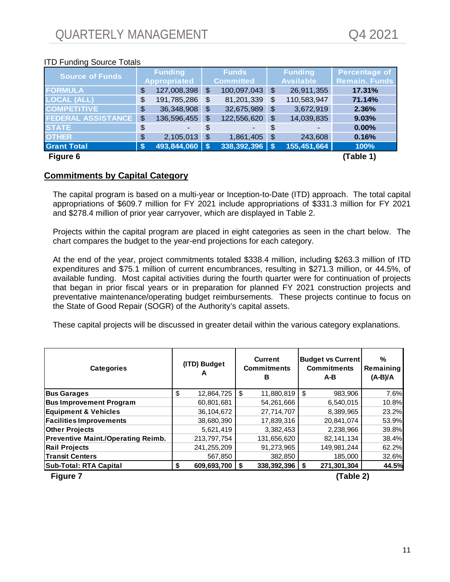## ITD Funding Source Totals

| <b>Source of Funds</b>    |                           | <b>Funding</b>      |                       | <b>Funds</b>     | <b>Funding</b>    | <b>Percentage of</b> |
|---------------------------|---------------------------|---------------------|-----------------------|------------------|-------------------|----------------------|
|                           |                           | <b>Appropriated</b> |                       | <b>Committed</b> | <b>Available</b>  | <b>Remain. Funds</b> |
| <b>FORMULA</b>            | \$                        | 127,008,398         | $\boldsymbol{\theta}$ | 100,097,043      | \$<br>26,911,355  | 17.31%               |
| <b>LOCAL (ALL)</b>        | \$                        | 191,785,286         | \$                    | 81,201,339       | \$<br>110,583,947 | 71.14%               |
| <b>COMPETITIVE</b>        | \$                        | 36,348,908          | $\boldsymbol{\theta}$ | 32,675,989       | \$<br>3,672,919   | 2.36%                |
| <b>FEDERAL ASSISTANCE</b> | \$                        | 136,596,455         | \$                    | 122,556,620      | \$<br>14,039,835  | 9.03%                |
| <b>STATE</b>              | \$                        |                     | \$                    |                  | \$                | 0.00%                |
| <b>OTHER</b>              | \$                        | 2,105,013           | \$                    | 1,861,405        | \$<br>243,608     | 0.16%                |
| <b>Grant Total</b>        | $\boldsymbol{\mathsf{s}}$ | $493,844,060$ \ \$  |                       | 338,392,396      | \$<br>155,451,664 | 100%                 |
| Figure 6                  |                           |                     |                       |                  |                   | (Table 1)            |

## **Commitments by Capital Category**

The capital program is based on a multi-year or Inception-to-Date (ITD) approach. The total capital appropriations of \$609.7 million for FY 2021 include appropriations of \$331.3 million for FY 2021 and \$278.4 million of prior year carryover, which are displayed in Table 2.

Projects within the capital program are placed in eight categories as seen in the chart below. The chart compares the budget to the year-end projections for each category.

At the end of the year, project commitments totaled \$338.4 million, including \$263.3 million of ITD expenditures and \$75.1 million of current encumbrances, resulting in \$271.3 million, or 44.5%, of available funding. Most capital activities during the fourth quarter were for continuation of projects that began in prior fiscal years or in preparation for planned FY 2021 construction projects and preventative maintenance/operating budget reimbursements. These projects continue to focus on the State of Good Repair (SOGR) of the Authority's capital assets.

These capital projects will be discussed in greater detail within the various category explanations.

| <b>Categories</b>                         |    | (ITD) Budget<br>A  |     | <b>Current</b><br><b>Commitments</b><br>в |     | <b>Budget vs Current</b><br><b>Commitments</b><br>A-B | %<br>Remaining<br>$(A-B)/A$ |
|-------------------------------------------|----|--------------------|-----|-------------------------------------------|-----|-------------------------------------------------------|-----------------------------|
| <b>Bus Garages</b>                        | \$ | 12,864,725         | -\$ | 11,880,819                                | \$  | 983,906                                               | 7.6%                        |
| <b>Bus Improvement Program</b>            |    | 60,801,681         |     | 54,261,666                                |     | 6,540,015                                             | 10.8%                       |
| <b>Equipment &amp; Vehicles</b>           |    | 36, 104, 672       |     | 27,714,707                                |     | 8,389,965                                             | 23.2%                       |
| <b>Facilities Improvements</b>            |    | 38,680,390         |     | 17,839,316                                |     | 20,841,074                                            | 53.9%                       |
| <b>Other Projects</b>                     |    | 5,621,419          |     | 3,382,453                                 |     | 2,238,966                                             | 39.8%                       |
| <b>Preventive Maint./Operating Reimb.</b> |    | 213,797,754        |     | 131,656,620                               |     | 82, 141, 134                                          | 38.4%                       |
| <b>Rail Projects</b>                      |    | 241,255,209        |     | 91,273,965                                |     | 149.981.244                                           | 62.2%                       |
| <b>Transit Centers</b>                    |    | 567,850            |     | 382,850                                   |     | 185,000                                               | 32.6%                       |
| <b>Sub-Total: RTA Capital</b>             | S  | $609,693,700$   \$ |     | 338,392,396                               | -\$ | 271,301,304                                           | 44.5%                       |
| <b>Figure 7</b>                           |    |                    |     |                                           |     | (Table 2)                                             |                             |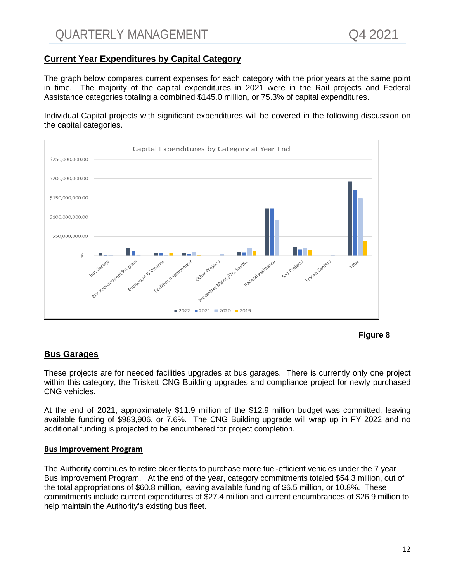## **Current Year Expenditures by Capital Category**

The graph below compares current expenses for each category with the prior years at the same point in time. The majority of the capital expenditures in 2021 were in the Rail projects and Federal Assistance categories totaling a combined \$145.0 million, or 75.3% of capital expenditures.

Individual Capital projects with significant expenditures will be covered in the following discussion on the capital categories.





## **Bus Garages**

These projects are for needed facilities upgrades at bus garages. There is currently only one project within this category, the Triskett CNG Building upgrades and compliance project for newly purchased CNG vehicles.

At the end of 2021, approximately \$11.9 million of the \$12.9 million budget was committed, leaving available funding of \$983,906, or 7.6%. The CNG Building upgrade will wrap up in FY 2022 and no additional funding is projected to be encumbered for project completion.

#### **Bus Improvement Program**

The Authority continues to retire older fleets to purchase more fuel-efficient vehicles under the 7 year Bus Improvement Program. At the end of the year, category commitments totaled \$54.3 million, out of the total appropriations of \$60.8 million, leaving available funding of \$6.5 million, or 10.8%. These commitments include current expenditures of \$27.4 million and current encumbrances of \$26.9 million to help maintain the Authority's existing bus fleet.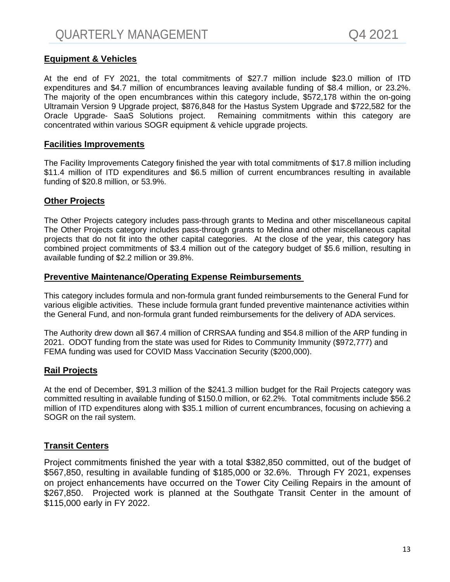## **Equipment & Vehicles**

At the end of FY 2021, the total commitments of \$27.7 million include \$23.0 million of ITD expenditures and \$4.7 million of encumbrances leaving available funding of \$8.4 million, or 23.2%. The majority of the open encumbrances within this category include, \$572,178 within the on-going Ultramain Version 9 Upgrade project, \$876,848 for the Hastus System Upgrade and \$722,582 for the Oracle Upgrade- SaaS Solutions project. Remaining commitments within this category are concentrated within various SOGR equipment & vehicle upgrade projects.

#### **Facilities Improvements**

The Facility Improvements Category finished the year with total commitments of \$17.8 million including \$11.4 million of ITD expenditures and \$6.5 million of current encumbrances resulting in available funding of \$20.8 million, or 53.9%.

## **Other Projects**

The Other Projects category includes pass-through grants to Medina and other miscellaneous capital The Other Projects category includes pass-through grants to Medina and other miscellaneous capital projects that do not fit into the other capital categories. At the close of the year, this category has combined project commitments of \$3.4 million out of the category budget of \$5.6 million, resulting in available funding of \$2.2 million or 39.8%.

#### **Preventive Maintenance/Operating Expense Reimbursements**

This category includes formula and non-formula grant funded reimbursements to the General Fund for various eligible activities. These include formula grant funded preventive maintenance activities within the General Fund, and non-formula grant funded reimbursements for the delivery of ADA services.

The Authority drew down all \$67.4 million of CRRSAA funding and \$54.8 million of the ARP funding in 2021. ODOT funding from the state was used for Rides to Community Immunity (\$972,777) and FEMA funding was used for COVID Mass Vaccination Security (\$200,000).

## **Rail Projects**

At the end of December, \$91.3 million of the \$241.3 million budget for the Rail Projects category was committed resulting in available funding of \$150.0 million, or 62.2%. Total commitments include \$56.2 million of ITD expenditures along with \$35.1 million of current encumbrances, focusing on achieving a SOGR on the rail system.

## **Transit Centers**

Project commitments finished the year with a total \$382,850 committed, out of the budget of \$567,850, resulting in available funding of \$185,000 or 32.6%. Through FY 2021, expenses on project enhancements have occurred on the Tower City Ceiling Repairs in the amount of \$267,850. Projected work is planned at the Southgate Transit Center in the amount of \$115,000 early in FY 2022.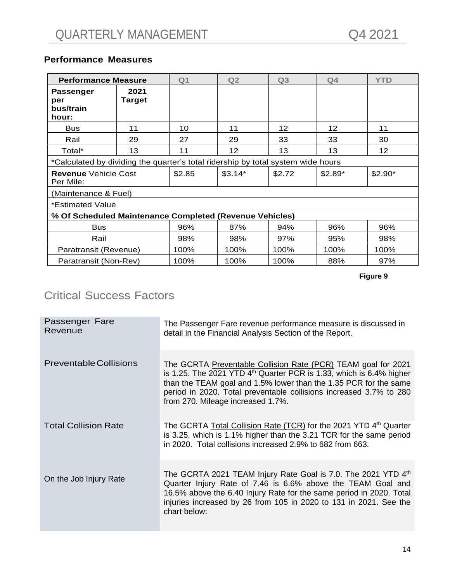## <span id="page-14-0"></span>**Performance Measures**

| <b>Performance Measure</b>                                                       |                | Q <sub>1</sub> | Q2       | Q <sub>3</sub>    | Q <sub>4</sub>    | <b>YTD</b> |
|----------------------------------------------------------------------------------|----------------|----------------|----------|-------------------|-------------------|------------|
| Passenger<br>per<br>bus/train<br>hour:                                           | 2021<br>Target |                |          |                   |                   |            |
| <b>Bus</b>                                                                       | 11             | 10             | 11       | $12 \overline{ }$ | $12 \overline{ }$ | 11         |
| Rail                                                                             | 29             | 27             | 29       | 33                | 33                | 30         |
| Total*                                                                           | 13             | 11             | 12       | 13                | 13                | 12         |
| *Calculated by dividing the quarter's total ridership by total system wide hours |                |                |          |                   |                   |            |
| <b>Revenue</b> Vehicle Cost<br>Per Mile:                                         |                | \$2.85         | $$3.14*$ | \$2.72            | $$2.89*$          | $$2.90*$   |
| (Maintenance & Fuel)                                                             |                |                |          |                   |                   |            |
| *Estimated Value                                                                 |                |                |          |                   |                   |            |
| % Of Scheduled Maintenance Completed (Revenue Vehicles)                          |                |                |          |                   |                   |            |
| <b>Bus</b>                                                                       |                | 96%            | 87%      | 94%               | 96%               | 96%        |
| Rail                                                                             |                | 98%            | 98%      | 97%               | 95%               | 98%        |
| Paratransit (Revenue)                                                            |                | 100%           | 100%     | 100%              | 100%              | 100%       |
| Paratransit (Non-Rev)                                                            |                | 100%           | 100%     | 100%              | 88%               | 97%        |

**Figure 9**

## Critical Success Factors

| Passenger Fare<br>Revenue     | The Passenger Fare revenue performance measure is discussed in<br>detail in the Financial Analysis Section of the Report.                                                                                                                                                                                             |
|-------------------------------|-----------------------------------------------------------------------------------------------------------------------------------------------------------------------------------------------------------------------------------------------------------------------------------------------------------------------|
| <b>Preventable Collisions</b> | The GCRTA Preventable Collision Rate (PCR) TEAM goal for 2021<br>is 1.25. The 2021 YTD $4th$ Quarter PCR is 1.33, which is 6.4% higher<br>than the TEAM goal and 1.5% lower than the 1.35 PCR for the same<br>period in 2020. Total preventable collisions increased 3.7% to 280<br>from 270. Mileage increased 1.7%. |
| <b>Total Collision Rate</b>   | The GCRTA Total Collision Rate (TCR) for the 2021 YTD 4 <sup>th</sup> Quarter<br>is 3.25, which is 1.1% higher than the 3.21 TCR for the same period<br>in 2020. Total collisions increased 2.9% to 682 from 663.                                                                                                     |
| On the Job Injury Rate        | The GCRTA 2021 TEAM Injury Rate Goal is 7.0. The 2021 YTD $4th$<br>Quarter Injury Rate of 7.46 is 6.6% above the TEAM Goal and<br>16.5% above the 6.40 Injury Rate for the same period in 2020. Total<br>injuries increased by 26 from 105 in 2020 to 131 in 2021. See the<br>chart below:                            |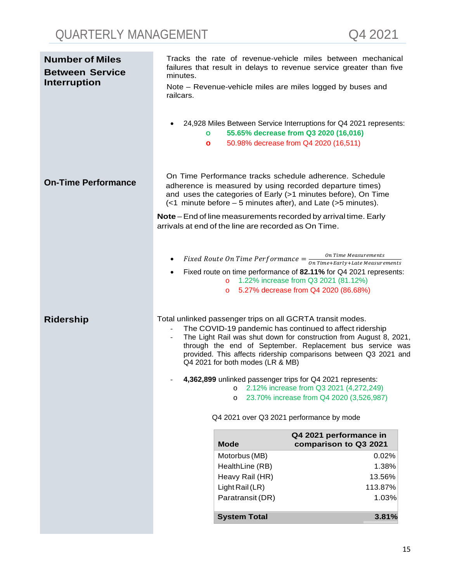| <b>Number of Miles</b><br><b>Between Service</b> | minutes.                  |                                                      | Tracks the rate of revenue-vehicle miles between mechanical<br>failures that result in delays to revenue service greater than five                                                                                                                                                                                           |
|--------------------------------------------------|---------------------------|------------------------------------------------------|------------------------------------------------------------------------------------------------------------------------------------------------------------------------------------------------------------------------------------------------------------------------------------------------------------------------------|
| <b>Interruption</b>                              | railcars.<br>$\mathbf{o}$ |                                                      | Note - Revenue-vehicle miles are miles logged by buses and<br>24,928 Miles Between Service Interruptions for Q4 2021 represents:<br>55.65% decrease from Q3 2020 (16,016)                                                                                                                                                    |
|                                                  | o                         |                                                      | 50.98% decrease from Q4 2020 (16,511)                                                                                                                                                                                                                                                                                        |
| <b>On-Time Performance</b>                       |                           |                                                      | On Time Performance tracks schedule adherence. Schedule<br>adherence is measured by using recorded departure times)<br>and uses the categories of Early (>1 minutes before), On Time<br>$\left($ <1 minute before – 5 minutes after), and Late (>5 minutes).                                                                 |
|                                                  |                           | arrivals at end of the line are recorded as On Time. | Note – End of line measurements recorded by arrival time. Early                                                                                                                                                                                                                                                              |
|                                                  | $\bullet$<br>$\bullet$    | $\overline{O}$<br>$\circ$                            | <i>Fixed Route On Time Performance</i> $=$ $\frac{On Time \textit{Measurements}}{On Time \textit{Henry + Late \textit{Measurements}}}$<br>Fixed route on time performance of 82.11% for Q4 2021 represents:<br>1.22% increase from Q3 2021 (81.12%)<br>5.27% decrease from Q4 2020 (86.68%)                                  |
| <b>Ridership</b>                                 | $\overline{\phantom{a}}$  | Q4 2021 for both modes (LR & MB)                     | Total unlinked passenger trips on all GCRTA transit modes.<br>The COVID-19 pandemic has continued to affect ridership<br>The Light Rail was shut down for construction from August 8, 2021,<br>through the end of September. Replacement bus service was<br>provided. This affects ridership comparisons between Q3 2021 and |
|                                                  |                           | O<br>$\circ$                                         | 4,362,899 unlinked passenger trips for Q4 2021 represents:<br>2.12% increase from Q3 2021 (4,272,249)<br>23.70% increase from Q4 2020 (3,526,987)                                                                                                                                                                            |
|                                                  |                           |                                                      | Q4 2021 over Q3 2021 performance by mode                                                                                                                                                                                                                                                                                     |
|                                                  |                           | <b>Mode</b>                                          | Q4 2021 performance in<br>comparison to Q3 2021                                                                                                                                                                                                                                                                              |
|                                                  |                           | Motorbus (MB)                                        | 0.02%                                                                                                                                                                                                                                                                                                                        |
|                                                  |                           | HealthLine (RB)<br>Heavy Rail (HR)                   | 1.38%<br>13.56%                                                                                                                                                                                                                                                                                                              |
|                                                  |                           | Light Rail (LR)                                      | 113.87%                                                                                                                                                                                                                                                                                                                      |
|                                                  |                           | Paratransit (DR)                                     | 1.03%                                                                                                                                                                                                                                                                                                                        |
|                                                  |                           | <b>System Total</b>                                  | 3.81%                                                                                                                                                                                                                                                                                                                        |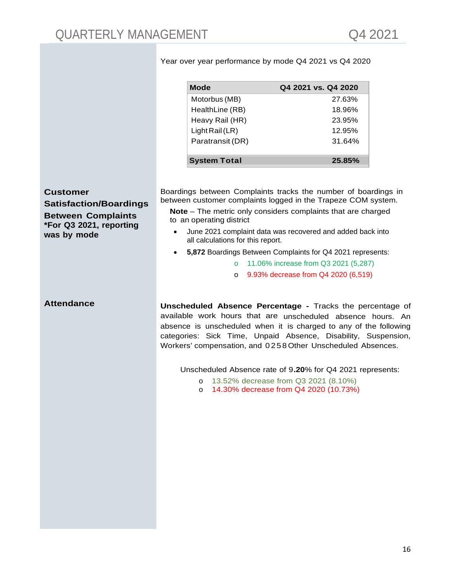| Mode                | Q4 2021 vs. Q4 2020 |
|---------------------|---------------------|
| Motorbus (MB)       | 27.63%              |
| HealthLine (RB)     | 18.96%              |
| Heavy Rail (HR)     | 23.95%              |
| Light Rail $(LR)$   | 12.95%              |
| Paratransit (DR)    | 31.64%              |
| <b>System Total</b> | 25.85%              |

Year over year performance by mode Q4 2021 vs Q4 2020

**Customer** 

**Satisfaction/Boardings Between Complaints \*For Q3 2021, reporting was by mode**

Boardings between Complaints tracks the number of boardings in between customer complaints logged in the Trapeze COM system.

**Note** – The metric only considers complaints that are charged to an operating district

- June 2021 complaint data was recovered and added back into all calculations for this report.
- **5,872** Boardings Between Complaints for Q4 2021 represents:
	- o 11.06% increase from Q3 2021 (5,287)
	- o 9.93% decrease from Q4 2020 (6,519)

**Attendance Unscheduled Absence Percentage -** Tracks the percentage of available work hours that are unscheduled absence hours. An absence is unscheduled when it is charged to any of the following categories: Sick Time, Unpaid Absence, Disability, Suspension, Workers' compensation, and 0258Other Unscheduled Absences.

Unscheduled Absence rate of 9**.20**% for Q4 2021 represents:

- o 13.52% decrease from Q3 2021 (8.10%)
- o 14.30% decrease from Q4 2020 (10.73%)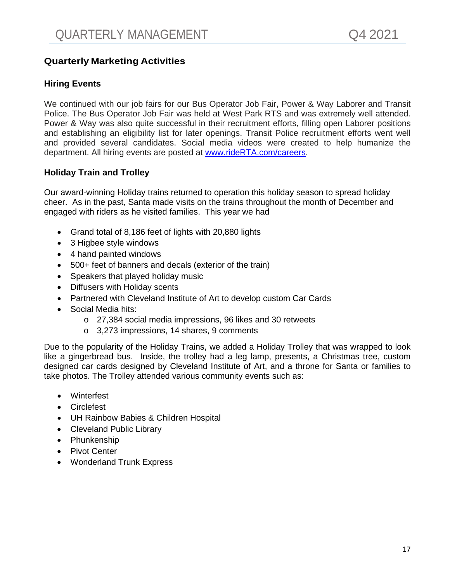## **Quarterly Marketing Activities**

## **Hiring Events**

We continued with our job fairs for our Bus Operator Job Fair, Power & Way Laborer and Transit Police. The Bus Operator Job Fair was held at West Park RTS and was extremely well attended. Power & Way was also quite successful in their recruitment efforts, filling open Laborer positions and establishing an eligibility list for later openings. Transit Police recruitment efforts went well and provided several candidates. Social media videos were created to help humanize the department. All hiring events are posted at [www.rideRTA.com/careers.](http://www.riderta.com/careers)

## **Holiday Train and Trolley**

Our award-winning Holiday trains returned to operation this holiday season to spread holiday cheer. As in the past, Santa made visits on the trains throughout the month of December and engaged with riders as he visited families. This year we had

- Grand total of 8,186 feet of lights with 20,880 lights
- 3 Higbee style windows
- 4 hand painted windows
- 500+ feet of banners and decals (exterior of the train)
- Speakers that played holiday music
- Diffusers with Holiday scents
- Partnered with Cleveland Institute of Art to develop custom Car Cards
- Social Media hits:
	- o 27,384 social media impressions, 96 likes and 30 retweets
	- o 3,273 impressions, 14 shares, 9 comments

Due to the popularity of the Holiday Trains, we added a Holiday Trolley that was wrapped to look like a gingerbread bus. Inside, the trolley had a leg lamp, presents, a Christmas tree, custom designed car cards designed by Cleveland Institute of Art, and a throne for Santa or families to take photos. The Trolley attended various community events such as:

- Winterfest
- Circlefest
- UH Rainbow Babies & Children Hospital
- Cleveland Public Library
- Phunkenship
- Pivot Center
- Wonderland Trunk Express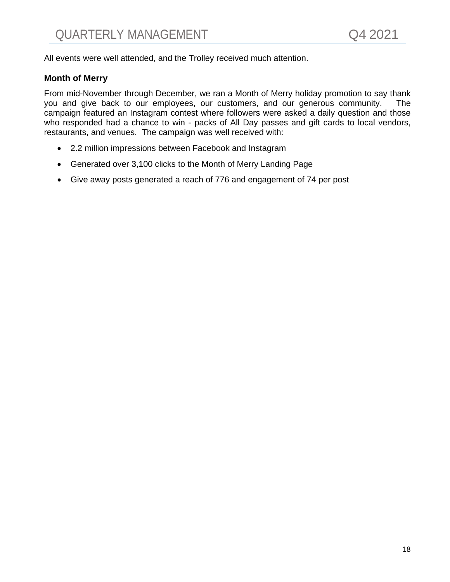All events were well attended, and the Trolley received much attention.

## **Month of Merry**

From mid-November through December, we ran a Month of Merry holiday promotion to say thank you and give back to our employees, our customers, and our generous community. The campaign featured an Instagram contest where followers were asked a daily question and those who responded had a chance to win - packs of All Day passes and gift cards to local vendors, restaurants, and venues. The campaign was well received with:

- 2.2 million impressions between Facebook and Instagram
- Generated over 3,100 clicks to the Month of Merry Landing Page
- Give away posts generated a reach of 776 and engagement of 74 per post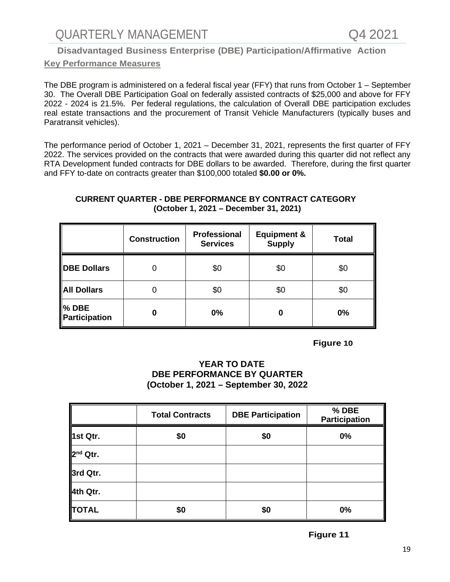## **Disadvantaged Business Enterprise (DBE) Participation/Affirmative Action**

## **Key Performance Measures**

The DBE program is administered on a federal fiscal year (FFY) that runs from October 1 – September 30. The Overall DBE Participation Goal on federally assisted contracts of \$25,000 and above for FFY 2022 - 2024 is 21.5%. Per federal regulations, the calculation of Overall DBE participation excludes real estate transactions and the procurement of Transit Vehicle Manufacturers (typically buses and Paratransit vehicles).

The performance period of October 1, 2021 – December 31, 2021, represents the first quarter of FFY 2022. The services provided on the contracts that were awarded during this quarter did not reflect any RTA Development funded contracts for DBE dollars to be awarded. Therefore, during the first quarter and FFY to-date on contracts greater than \$100,000 totaled **\$0.00 or 0%.**

## **CURRENT QUARTER - DBE PERFORMANCE BY CONTRACT CATEGORY (October 1, 2021 – December 31, 2021)**

|                               | <b>Construction</b> | Professional<br><b>Services</b> | <b>Equipment &amp;</b><br><b>Supply</b> | <b>Total</b> |
|-------------------------------|---------------------|---------------------------------|-----------------------------------------|--------------|
| <b>DBE Dollars</b>            |                     | \$0                             | \$0                                     | \$0          |
| <b>All Dollars</b>            |                     | \$0                             | \$0                                     | \$0          |
| <b>% DBE</b><br>Participation | 0                   | 0%                              | 0                                       | 0%           |

 **Figure 10** 

## **YEAR TO DATE DBE PERFORMANCE BY QUARTER (October 1, 2021 – September 30, 2022**

|                      | <b>Total Contracts</b> | <b>DBE Participation</b> | % DBE<br>Participation |
|----------------------|------------------------|--------------------------|------------------------|
| 1st Qtr.             | \$0                    | \$0                      | 0%                     |
| 2 <sup>nd</sup> Qtr. |                        |                          |                        |
| 3rd Qtr.             |                        |                          |                        |
| 4th Qtr.             |                        |                          |                        |
| <b>TOTAL</b>         | \$0                    | \$0                      | 0%                     |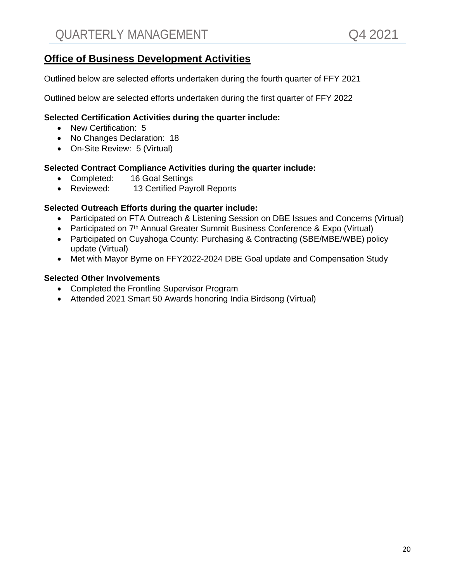## **Office of Business Development Activities**

Outlined below are selected efforts undertaken during the fourth quarter of FFY 2021

Outlined below are selected efforts undertaken during the first quarter of FFY 2022

## **Selected Certification Activities during the quarter include:**

- New Certification: 5
- No Changes Declaration: 18
- On-Site Review: 5 (Virtual)

## **Selected Contract Compliance Activities during the quarter include:**

- Completed: 16 Goal Settings
- Reviewed: 13 Certified Payroll Reports

## **Selected Outreach Efforts during the quarter include:**

- Participated on FTA Outreach & Listening Session on DBE Issues and Concerns (Virtual)
- Participated on 7<sup>th</sup> Annual Greater Summit Business Conference & Expo (Virtual)
- Participated on Cuyahoga County: Purchasing & Contracting (SBE/MBE/WBE) policy update (Virtual)
- Met with Mayor Byrne on FFY2022-2024 DBE Goal update and Compensation Study

## **Selected Other Involvements**

- Completed the Frontline Supervisor Program
- Attended 2021 Smart 50 Awards honoring India Birdsong (Virtual)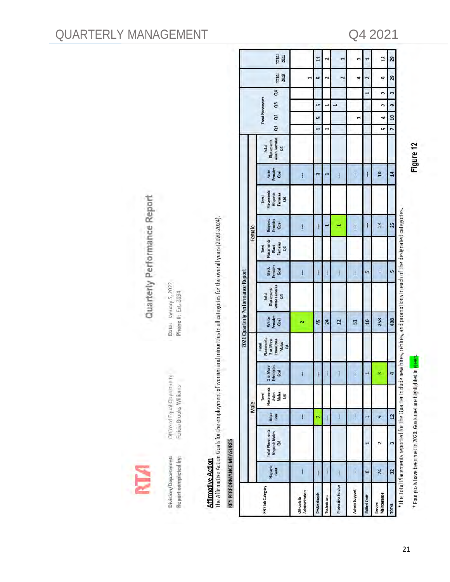Division/Department: Report completed by:

Office of Equal Opportunity Felicia Brooks-Williams

Date: January 5, 2022 Phone #: Ext. 3094

Quarterly Performance Report

**Affirmative Action**<br>The Affirmative Action Goals for the employment of women and minorities in all categories for the overall years (2020-2024).

# KEY PERFORMANCE MEASURES

| m<br>ţ<br>ł<br>Total<br>Placements<br>Hispanic<br>Females<br>đ<br><b>Hispanic</b><br>Females<br>Goal<br>25<br>23<br>$\mathsf{I}$<br>$\bar{t}$<br>ł<br>ł<br>ᆸ<br>Female<br>Placements<br>Females<br>Total<br>Black<br>5<br>Black<br>Females<br>Goal<br>u<br>Ţ<br>$\bar{1}$<br>$\mathbf{I}$<br>$\overline{\mathbf{I}}$<br>$\begin{array}{c} \hline \end{array}$<br>in<br>I<br>White Females<br>Placements<br>Total<br>E<br>White<br>Females<br>408<br>Goal<br>258<br>16<br>45<br>24<br>$\overline{a}$<br>51<br>Placements<br>2 or More<br>Ethnicities<br>Males<br>$\frac{1}{2}$<br>Total<br>or More<br>Ethnicities<br>Goal<br>m<br>4<br>Ñ<br>Placements<br>Males<br>Total<br>Asian<br>g<br>Male<br>Asjan<br>Goal<br>$\overline{a}$<br>Ĭ<br>Ī<br>Ī<br>g,<br>I<br><b>Total Placements</b><br><b>Hispanic Males</b><br>54<br>m<br>N<br>Hispanic<br>Goal<br>$\mathbf{I}$<br>Ī<br>32<br>24<br>8<br>ł<br>Protective Service<br>EEO Job Category<br>Administrators<br><b>Admin Support</b><br>Professionals<br>Maintenance<br>Technicians<br><b>Skilled Craft</b><br><b>Officials &amp;</b><br>Service<br><b>TOTAL</b> |  |  |  |  | 2021 Quarterly Performance Report |  |  |                          |                                                  |                      |                              |                |                       |                      |
|---------------------------------------------------------------------------------------------------------------------------------------------------------------------------------------------------------------------------------------------------------------------------------------------------------------------------------------------------------------------------------------------------------------------------------------------------------------------------------------------------------------------------------------------------------------------------------------------------------------------------------------------------------------------------------------------------------------------------------------------------------------------------------------------------------------------------------------------------------------------------------------------------------------------------------------------------------------------------------------------------------------------------------------------------------------------------------------------------------------|--|--|--|--|-----------------------------------|--|--|--------------------------|--------------------------------------------------|----------------------|------------------------------|----------------|-----------------------|----------------------|
|                                                                                                                                                                                                                                                                                                                                                                                                                                                                                                                                                                                                                                                                                                                                                                                                                                                                                                                                                                                                                                                                                                               |  |  |  |  |                                   |  |  |                          |                                                  |                      |                              |                |                       |                      |
|                                                                                                                                                                                                                                                                                                                                                                                                                                                                                                                                                                                                                                                                                                                                                                                                                                                                                                                                                                                                                                                                                                               |  |  |  |  |                                   |  |  | Asian<br>Females<br>Goal | <b>Asian Females</b><br>Placements<br>Total<br>F | $\alpha$<br>ā        | <b>Total Placements</b><br>8 | đ4             | TOTAL<br>2020         | <b>TOTAL</b><br>2021 |
|                                                                                                                                                                                                                                                                                                                                                                                                                                                                                                                                                                                                                                                                                                                                                                                                                                                                                                                                                                                                                                                                                                               |  |  |  |  |                                   |  |  |                          |                                                  |                      |                              |                | $\mathbf{\mathbf{r}}$ |                      |
|                                                                                                                                                                                                                                                                                                                                                                                                                                                                                                                                                                                                                                                                                                                                                                                                                                                                                                                                                                                                                                                                                                               |  |  |  |  |                                   |  |  |                          |                                                  | $\blacksquare$       | Ln<br><u>in</u>              |                | ø                     | H                    |
|                                                                                                                                                                                                                                                                                                                                                                                                                                                                                                                                                                                                                                                                                                                                                                                                                                                                                                                                                                                                                                                                                                               |  |  |  |  |                                   |  |  |                          |                                                  |                      |                              |                | $\sim$                | 2                    |
|                                                                                                                                                                                                                                                                                                                                                                                                                                                                                                                                                                                                                                                                                                                                                                                                                                                                                                                                                                                                                                                                                                               |  |  |  |  |                                   |  |  |                          |                                                  |                      | $\mathbf{t}$                 |                | $\overline{c}$        |                      |
|                                                                                                                                                                                                                                                                                                                                                                                                                                                                                                                                                                                                                                                                                                                                                                                                                                                                                                                                                                                                                                                                                                               |  |  |  |  |                                   |  |  | $\mathbf{I}$             |                                                  |                      |                              |                | 4                     |                      |
|                                                                                                                                                                                                                                                                                                                                                                                                                                                                                                                                                                                                                                                                                                                                                                                                                                                                                                                                                                                                                                                                                                               |  |  |  |  |                                   |  |  | $\mathfrak{f}$           |                                                  |                      |                              | $\mathbf{r}$   | 2                     |                      |
|                                                                                                                                                                                                                                                                                                                                                                                                                                                                                                                                                                                                                                                                                                                                                                                                                                                                                                                                                                                                                                                                                                               |  |  |  |  |                                   |  |  | 10                       |                                                  | $\overline{a}$<br>in | $\overline{z}$               | $\overline{a}$ | o                     | $\overline{13}$      |
|                                                                                                                                                                                                                                                                                                                                                                                                                                                                                                                                                                                                                                                                                                                                                                                                                                                                                                                                                                                                                                                                                                               |  |  |  |  |                                   |  |  | 14                       |                                                  | 90<br>$\overline{ }$ | 9                            | $\mathbf{r}$   | 29                    | 29                   |
| $^*$ The Total Placements reported for the Quarter include new hires, rehires, and promotions in each of the designated categories.                                                                                                                                                                                                                                                                                                                                                                                                                                                                                                                                                                                                                                                                                                                                                                                                                                                                                                                                                                           |  |  |  |  |                                   |  |  |                          |                                                  |                      |                              |                |                       |                      |

## QUARTERLY MANAGEMENT Q4 2021

\* Four goals have been met in 2020. Goals met are highlighted in green

Figure 12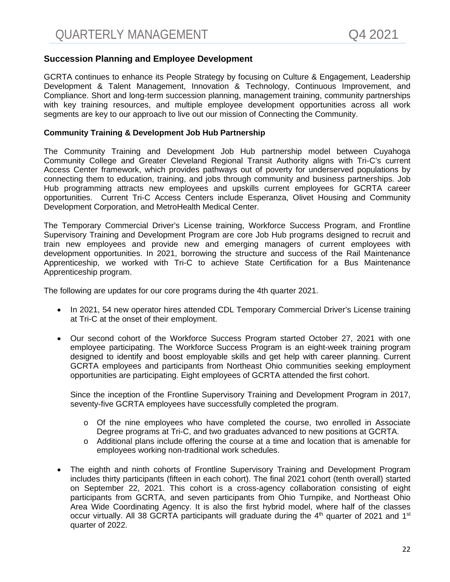## **Succession Planning and Employee Development**

GCRTA continues to enhance its People Strategy by focusing on Culture & Engagement, Leadership Development & Talent Management, Innovation & Technology, Continuous Improvement, and Compliance. Short and long-term succession planning, management training, community partnerships with key training resources, and multiple employee development opportunities across all work segments are key to our approach to live out our mission of Connecting the Community.

#### **Community Training & Development Job Hub Partnership**

The Community Training and Development Job Hub partnership model between Cuyahoga Community College and Greater Cleveland Regional Transit Authority aligns with Tri-C's current Access Center framework, which provides pathways out of poverty for underserved populations by connecting them to education, training, and jobs through community and business partnerships. Job Hub programming attracts new employees and upskills current employees for GCRTA career opportunities. Current Tri-C Access Centers include Esperanza, Olivet Housing and Community Development Corporation, and MetroHealth Medical Center.

The Temporary Commercial Driver's License training, Workforce Success Program, and Frontline Supervisory Training and Development Program are core Job Hub programs designed to recruit and train new employees and provide new and emerging managers of current employees with development opportunities. In 2021, borrowing the structure and success of the Rail Maintenance Apprenticeship, we worked with Tri-C to achieve State Certification for a Bus Maintenance Apprenticeship program.

The following are updates for our core programs during the 4th quarter 2021.

- In 2021, 54 new operator hires attended CDL Temporary Commercial Driver's License training at Tri-C at the onset of their employment.
- Our second cohort of the Workforce Success Program started October 27, 2021 with one employee participating. The Workforce Success Program is an eight-week training program designed to identify and boost employable skills and get help with career planning. Current GCRTA employees and participants from Northeast Ohio communities seeking employment opportunities are participating. Eight employees of GCRTA attended the first cohort.

Since the inception of the Frontline Supervisory Training and Development Program in 2017, seventy-five GCRTA employees have successfully completed the program.

- $\circ$  Of the nine employees who have completed the course, two enrolled in Associate Degree programs at Tri-C, and two graduates advanced to new positions at GCRTA.
- o Additional plans include offering the course at a time and location that is amenable for employees working non-traditional work schedules.
- The eighth and ninth cohorts of Frontline Supervisory Training and Development Program includes thirty participants (fifteen in each cohort). The final 2021 cohort (tenth overall) started on September 22, 2021. This cohort is a cross-agency collaboration consisting of eight participants from GCRTA, and seven participants from Ohio Turnpike, and Northeast Ohio Area Wide Coordinating Agency. It is also the first hybrid model, where half of the classes occur virtually. All 38 GCRTA participants will graduate during the  $4<sup>th</sup>$  quarter of 2021 and 1<sup>st</sup> quarter of 2022.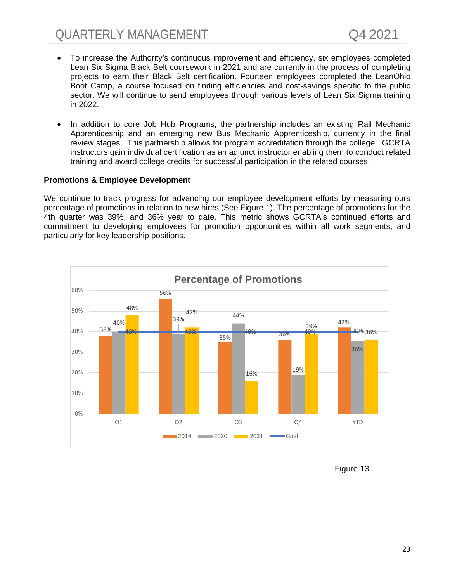- To increase the Authority's continuous improvement and efficiency, six employees completed Lean Six Sigma Black Belt coursework in 2021 and are currently in the process of completing projects to earn their Black Belt certification. Fourteen employees completed the LeanOhio Boot Camp, a course focused on finding efficiencies and cost-savings specific to the public sector. We will continue to send employees through various levels of Lean Six Sigma training in 2022.
- In addition to core Job Hub Programs, the partnership includes an existing Rail Mechanic Apprenticeship and an emerging new Bus Mechanic Apprenticeship, currently in the final review stages. This partnership allows for program accreditation through the college. GCRTA instructors gain individual certification as an adjunct instructor enabling them to conduct related training and award college credits for successful participation in the related courses.

#### **Promotions & Employee Development**

We continue to track progress for advancing our employee development efforts by measuring ours percentage of promotions in relation to new hires (See Figure 1). The percentage of promotions for the 4th quarter was 39%, and 36% year to date. This metric shows GCRTA's continued efforts and commitment to developing employees for promotion opportunities within all work segments, and particularly for key leadership positions.



Figure 13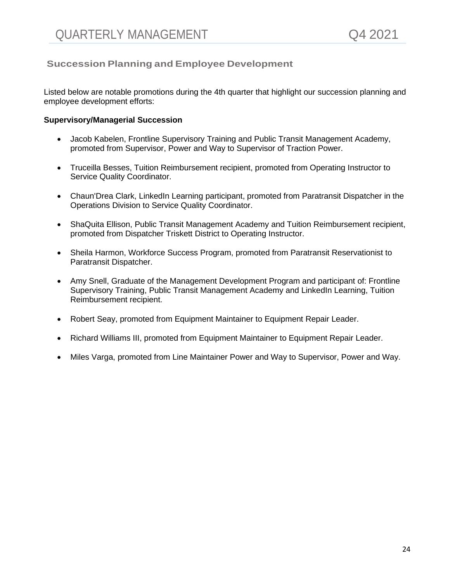## **Succession Planning and Employee Development**

Listed below are notable promotions during the 4th quarter that highlight our succession planning and employee development efforts:

#### **Supervisory/Managerial Succession**

- Jacob Kabelen, Frontline Supervisory Training and Public Transit Management Academy, promoted from Supervisor, Power and Way to Supervisor of Traction Power.
- Truceilla Besses, Tuition Reimbursement recipient, promoted from Operating Instructor to Service Quality Coordinator.
- Chaun'Drea Clark, LinkedIn Learning participant, promoted from Paratransit Dispatcher in the Operations Division to Service Quality Coordinator.
- ShaQuita Ellison, Public Transit Management Academy and Tuition Reimbursement recipient, promoted from Dispatcher Triskett District to Operating Instructor.
- Sheila Harmon, Workforce Success Program, promoted from Paratransit Reservationist to Paratransit Dispatcher.
- Amy Snell, Graduate of the Management Development Program and participant of: Frontline Supervisory Training, Public Transit Management Academy and LinkedIn Learning, Tuition Reimbursement recipient.
- Robert Seay, promoted from Equipment Maintainer to Equipment Repair Leader.
- Richard Williams III, promoted from Equipment Maintainer to Equipment Repair Leader.
- Miles Varga, promoted from Line Maintainer Power and Way to Supervisor, Power and Way.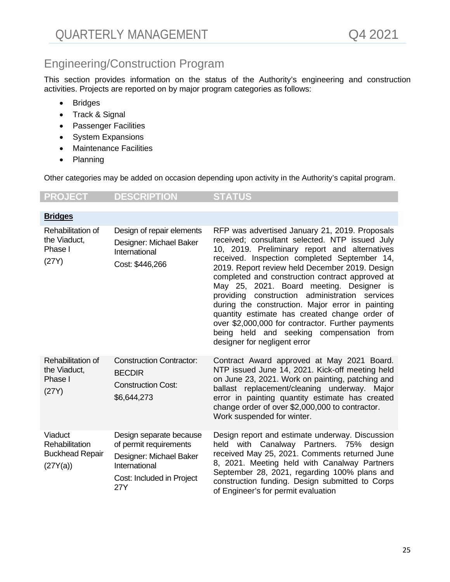## Engineering/Construction Program

This section provides information on the status of the Authority's engineering and construction activities. Projects are reported on by major program categories as follows:

- Bridges
- Track & Signal
- Passenger Facilities
- System Expansions
- Maintenance Facilities
- Planning

Other categories may be added on occasion depending upon activity in the Authority's capital program.

## **PROJECT DESCRIPTION STATUS**

| <b>Bridges</b>                                                  |                                                                                                                                   |                                                                                                                                                                                                                                                                                                                                                                                                                                                                                                                                                                                                                                               |
|-----------------------------------------------------------------|-----------------------------------------------------------------------------------------------------------------------------------|-----------------------------------------------------------------------------------------------------------------------------------------------------------------------------------------------------------------------------------------------------------------------------------------------------------------------------------------------------------------------------------------------------------------------------------------------------------------------------------------------------------------------------------------------------------------------------------------------------------------------------------------------|
| Rehabilitation of<br>the Viaduct,<br>Phase I<br>(27Y)           | Design of repair elements<br>Designer: Michael Baker<br>International<br>Cost: \$446,266                                          | RFP was advertised January 21, 2019. Proposals<br>received; consultant selected. NTP issued July<br>10, 2019. Preliminary report and alternatives<br>received. Inspection completed September 14,<br>2019. Report review held December 2019. Design<br>completed and construction contract approved at<br>May 25, 2021. Board meeting. Designer is<br>construction administration services<br>providing<br>during the construction. Major error in painting<br>quantity estimate has created change order of<br>over \$2,000,000 for contractor. Further payments<br>being held and seeking compensation from<br>designer for negligent error |
| Rehabilitation of<br>the Viaduct,<br>Phase I<br>(27Y)           | <b>Construction Contractor:</b><br><b>BECDIR</b><br><b>Construction Cost:</b><br>\$6,644,273                                      | Contract Award approved at May 2021 Board.<br>NTP issued June 14, 2021. Kick-off meeting held<br>on June 23, 2021. Work on painting, patching and<br>ballast replacement/cleaning underway. Major<br>error in painting quantity estimate has created<br>change order of over \$2,000,000 to contractor.<br>Work suspended for winter.                                                                                                                                                                                                                                                                                                         |
| Viaduct<br>Rehabilitation<br><b>Buckhead Repair</b><br>(27Y(a)) | Design separate because<br>of permit requirements<br>Designer: Michael Baker<br>International<br>Cost: Included in Project<br>27Y | Design report and estimate underway. Discussion<br>held with Canalway Partners. 75% design<br>received May 25, 2021. Comments returned June<br>8, 2021. Meeting held with Canalway Partners<br>September 28, 2021, regarding 100% plans and<br>construction funding. Design submitted to Corps<br>of Engineer's for permit evaluation                                                                                                                                                                                                                                                                                                         |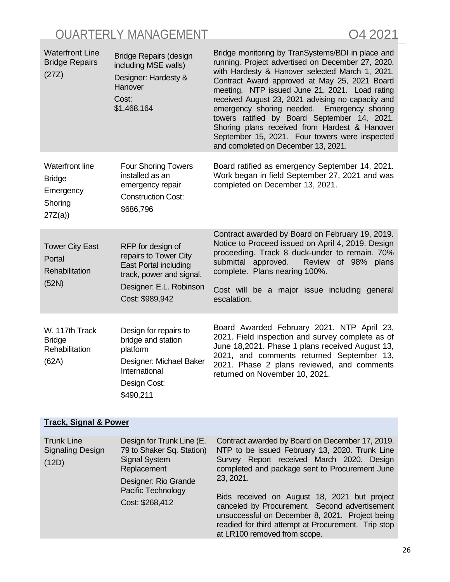| <b>Waterfront Line</b><br><b>Bridge Repairs</b><br>(27Z)                  | <b>Bridge Repairs (design</b><br>including MSE walls)<br>Designer: Hardesty &<br>Hanover<br>Cost:<br>\$1,468,164                                     | Bridge monitoring by TranSystems/BDI in place and<br>running. Project advertised on December 27, 2020.<br>with Hardesty & Hanover selected March 1, 2021.<br>Contract Award approved at May 25, 2021 Board<br>meeting. NTP issued June 21, 2021. Load rating<br>received August 23, 2021 advising no capacity and<br>emergency shoring needed. Emergency shoring<br>towers ratified by Board September 14, 2021.<br>Shoring plans received from Hardest & Hanover<br>September 15, 2021. Four towers were inspected<br>and completed on December 13, 2021. |
|---------------------------------------------------------------------------|------------------------------------------------------------------------------------------------------------------------------------------------------|------------------------------------------------------------------------------------------------------------------------------------------------------------------------------------------------------------------------------------------------------------------------------------------------------------------------------------------------------------------------------------------------------------------------------------------------------------------------------------------------------------------------------------------------------------|
| <b>Waterfront line</b><br><b>Bridge</b><br>Emergency<br>Shoring<br>27Z(a) | <b>Four Shoring Towers</b><br>installed as an<br>emergency repair<br><b>Construction Cost:</b><br>\$686,796                                          | Board ratified as emergency September 14, 2021.<br>Work began in field September 27, 2021 and was<br>completed on December 13, 2021.                                                                                                                                                                                                                                                                                                                                                                                                                       |
| <b>Tower City East</b><br>Portal<br><b>Rehabilitation</b><br>(52N)        | RFP for design of<br>repairs to Tower City<br><b>East Portal including</b><br>track, power and signal.<br>Designer: E.L. Robinson<br>Cost: \$989,942 | Contract awarded by Board on February 19, 2019.<br>Notice to Proceed issued on April 4, 2019. Design<br>proceeding. Track 8 duck-under to remain. 70%<br>submittal approved.<br>Review of 98% plans<br>complete. Plans nearing 100%.<br>Cost will be a major issue including general<br>escalation.                                                                                                                                                                                                                                                        |
| W. 117th Track<br><b>Bridge</b><br>Rehabilitation<br>(62A)                | Design for repairs to<br>bridge and station<br>platform<br>Designer: Michael Baker<br>International<br>Design Cost:<br>\$490,211                     | Board Awarded February 2021. NTP April 23,<br>2021. Field inspection and survey complete as of<br>June 18,2021. Phase 1 plans received August 13,<br>2021, and comments returned September 13,<br>2021. Phase 2 plans reviewed, and comments<br>returned on November 10, 2021.                                                                                                                                                                                                                                                                             |

## **Track, Signal & Power**

| <b>Trunk Line</b><br>Signaling Design<br>(12D) | Design for Trunk Line (E.<br>79 to Shaker Sq. Station)<br><b>Signal System</b><br>Replacement<br>Designer: Rio Grande | Contract awarded by Board on December 17, 2019.<br>NTP to be issued February 13, 2020. Trunk Line<br>Survey Report received March 2020. Design<br>completed and package sent to Procurement June<br>23, 2021.                           |
|------------------------------------------------|-----------------------------------------------------------------------------------------------------------------------|-----------------------------------------------------------------------------------------------------------------------------------------------------------------------------------------------------------------------------------------|
|                                                | <b>Pacific Technology</b><br>Cost: \$268,412                                                                          | Bids received on August 18, 2021 but project<br>canceled by Procurement. Second advertisement<br>unsuccessful on December 8, 2021. Project being<br>readied for third attempt at Procurement. Trip stop<br>at LR100 removed from scope. |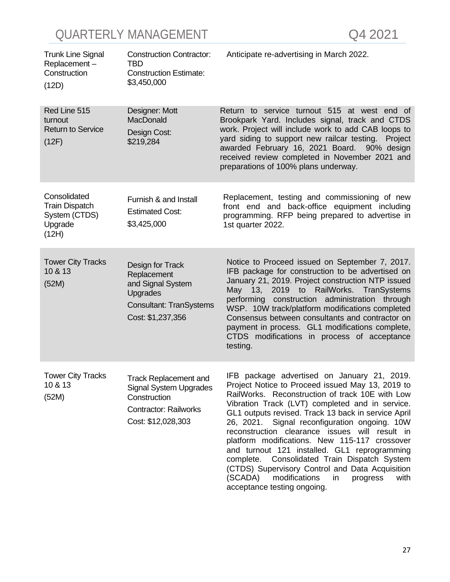| <b>Trunk Line Signal</b><br>Replacement-<br>Construction<br>(12D)          | <b>Construction Contractor:</b><br>TBD<br><b>Construction Estimate:</b><br>\$3,450,000                                              | Anticipate re-advertising in March 2022.                                                                                                                                                                                                                                                                                                                                                                                                                                                                                                                                                                                     |
|----------------------------------------------------------------------------|-------------------------------------------------------------------------------------------------------------------------------------|------------------------------------------------------------------------------------------------------------------------------------------------------------------------------------------------------------------------------------------------------------------------------------------------------------------------------------------------------------------------------------------------------------------------------------------------------------------------------------------------------------------------------------------------------------------------------------------------------------------------------|
| Red Line 515<br>turnout<br><b>Return to Service</b><br>(12F)               | Designer: Mott<br>MacDonald<br>Design Cost:<br>\$219,284                                                                            | Return to service turnout 515 at west end of<br>Brookpark Yard. Includes signal, track and CTDS<br>work. Project will include work to add CAB loops to<br>yard siding to support new railcar testing.<br>Project<br>awarded February 16, 2021 Board. 90% design<br>received review completed in November 2021 and<br>preparations of 100% plans underway.                                                                                                                                                                                                                                                                    |
| Consolidated<br><b>Train Dispatch</b><br>System (CTDS)<br>Upgrade<br>(12H) | Furnish & and Install<br><b>Estimated Cost:</b><br>\$3,425,000                                                                      | Replacement, testing and commissioning of new<br>front end and back-office equipment including<br>programming. RFP being prepared to advertise in<br>1st quarter 2022.                                                                                                                                                                                                                                                                                                                                                                                                                                                       |
| <b>Tower City Tracks</b><br>10 & 13<br>(52M)                               | Design for Track<br>Replacement<br>and Signal System<br>Upgrades<br><b>Consultant: TranSystems</b><br>Cost: \$1,237,356             | Notice to Proceed issued on September 7, 2017.<br>IFB package for construction to be advertised on<br>January 21, 2019. Project construction NTP issued<br>May 13, 2019 to RailWorks. TranSystems<br>performing construction administration through<br>WSP. 10W track/platform modifications completed<br>Consensus between consultants and contractor on<br>payment in process. GL1 modifications complete,<br>CTDS modifications in process of acceptance<br>testing.                                                                                                                                                      |
| <b>Tower City Tracks</b><br>10 & 13<br>(52M)                               | <b>Track Replacement and</b><br><b>Signal System Upgrades</b><br>Construction<br><b>Contractor: Railworks</b><br>Cost: \$12,028,303 | IFB package advertised on January 21, 2019.<br>Project Notice to Proceed issued May 13, 2019 to<br>RailWorks. Reconstruction of track 10E with Low<br>Vibration Track (LVT) completed and in service.<br>GL1 outputs revised. Track 13 back in service April<br>26, 2021. Signal reconfiguration ongoing. 10W<br>reconstruction clearance issues will result in<br>platform modifications. New 115-117 crossover<br>and turnout 121 installed. GL1 reprogramming<br>complete.<br>Consolidated Train Dispatch System<br>(CTDS) Supervisory Control and Data Acquisition<br>(SCADA)<br>modifications<br>progress<br>with<br>in |

acceptance testing ongoing.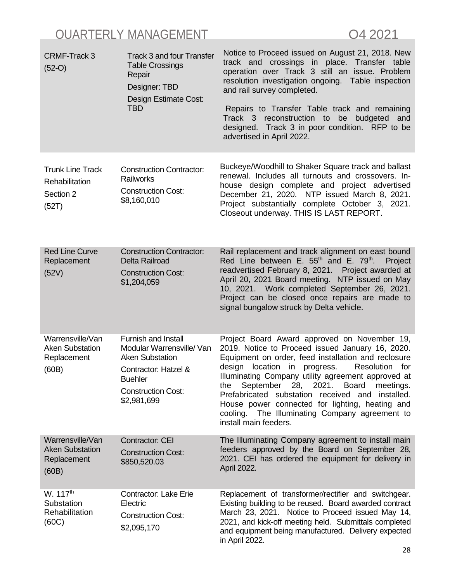| <b>CRMF-Track 3</b><br>$(52-O)$                                    | <b>Track 3 and four Transfer</b><br><b>Table Crossings</b><br>Repair<br>Designer: TBD<br>Design Estimate Cost:<br><b>TBD</b>                                                       | Notice to Proceed issued on August 21, 2018. New<br>track and crossings in place. Transfer table<br>operation over Track 3 still an issue. Problem<br>resolution investigation ongoing. Table inspection<br>and rail survey completed.<br>Repairs to Transfer Table track and remaining<br>Track 3 reconstruction to be<br>budgeted and<br>designed. Track 3 in poor condition. RFP to be<br>advertised in April 2022.                                                                                |
|--------------------------------------------------------------------|------------------------------------------------------------------------------------------------------------------------------------------------------------------------------------|-------------------------------------------------------------------------------------------------------------------------------------------------------------------------------------------------------------------------------------------------------------------------------------------------------------------------------------------------------------------------------------------------------------------------------------------------------------------------------------------------------|
| <b>Trunk Line Track</b><br>Rehabilitation<br>Section 2<br>(52T)    | <b>Construction Contractor:</b><br>Railworks<br><b>Construction Cost:</b><br>\$8,160,010                                                                                           | Buckeye/Woodhill to Shaker Square track and ballast<br>renewal. Includes all turnouts and crossovers. In-<br>house design complete and project advertised<br>December 21, 2020. NTP issued March 8, 2021.<br>Project substantially complete October 3, 2021.<br>Closeout underway. THIS IS LAST REPORT.                                                                                                                                                                                               |
| <b>Red Line Curve</b><br>Replacement<br>(52V)                      | <b>Construction Contractor:</b><br>Delta Railroad<br><b>Construction Cost:</b><br>\$1,204,059                                                                                      | Rail replacement and track alignment on east bound<br>Red Line between E. $55th$ and E. $79th$ .<br>Project<br>readvertised February 8, 2021. Project awarded at<br>April 20, 2021 Board meeting. NTP issued on May<br>10, 2021. Work completed September 26, 2021.<br>Project can be closed once repairs are made to<br>signal bungalow struck by Delta vehicle.                                                                                                                                     |
| Warrensville/Van<br><b>Aken Substation</b><br>Replacement<br>(60B) | <b>Furnish and Install</b><br>Modular Warrensville/ Van<br><b>Aken Substation</b><br><b>Contractor: Hatzel &amp;</b><br><b>Buehler</b><br><b>Construction Cost:</b><br>\$2,981,699 | Project Board Award approved on November 19,<br>2019. Notice to Proceed issued January 16, 2020.<br>Equipment on order, feed installation and reclosure<br>design<br>location in progress.<br>Resolution for<br>Illuminating Company utility agreement approved at<br>September 28, 2021. Board<br>meetings.<br>the<br>Prefabricated substation received and installed.<br>House power connected for lighting, heating and<br>cooling. The Illuminating Company agreement to<br>install main feeders. |
| Warrensville/Van<br><b>Aken Substation</b><br>Replacement<br>(60B) | Contractor: CEI<br><b>Construction Cost:</b><br>\$850,520.03                                                                                                                       | The Illuminating Company agreement to install main<br>feeders approved by the Board on September 28,<br>2021. CEI has ordered the equipment for delivery in<br>April 2022.                                                                                                                                                                                                                                                                                                                            |
| W. 117 <sup>th</sup><br>Substation<br>Rehabilitation<br>(60C)      | <b>Contractor: Lake Erie</b><br>Electric<br><b>Construction Cost:</b><br>\$2,095,170                                                                                               | Replacement of transformer/rectifier and switchgear.<br>Existing building to be reused. Board awarded contract<br>March 23, 2021. Notice to Proceed issued May 14,<br>2021, and kick-off meeting held. Submittals completed<br>and equipment being manufactured. Delivery expected<br>in April 2022.                                                                                                                                                                                                  |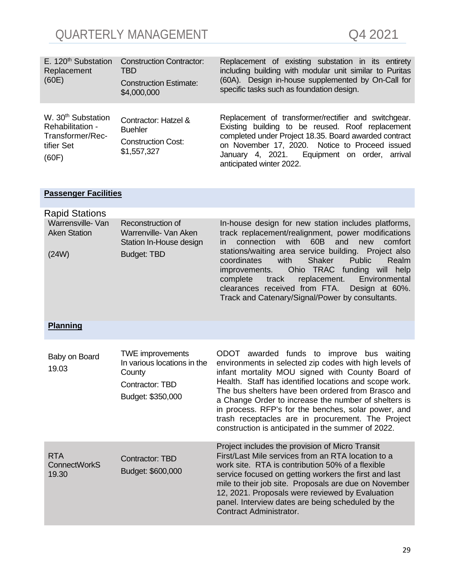| E. 120 <sup>th</sup> Substation<br>Replacement<br>(60E)                                       | <b>Construction Contractor:</b><br><b>TBD</b><br><b>Construction Estimate:</b><br>\$4,000,000 | Replacement of existing substation in its entirety<br>including building with modular unit similar to Puritas<br>(60A). Design in-house supplemented by On-Call for<br>specific tasks such as foundation design.                                                                                                                                                                                                                                                                                      |
|-----------------------------------------------------------------------------------------------|-----------------------------------------------------------------------------------------------|-------------------------------------------------------------------------------------------------------------------------------------------------------------------------------------------------------------------------------------------------------------------------------------------------------------------------------------------------------------------------------------------------------------------------------------------------------------------------------------------------------|
| W. 30 <sup>th</sup> Substation<br>Rehabilitation -<br>Transformer/Rec-<br>tifier Set<br>(60F) | Contractor: Hatzel &<br><b>Buehler</b><br><b>Construction Cost:</b><br>\$1,557,327            | Replacement of transformer/rectifier and switchgear.<br>Existing building to be reused. Roof replacement<br>completed under Project 18.35. Board awarded contract<br>on November 17, 2020. Notice to Proceed issued<br>January 4, 2021. Equipment on order, arrival<br>anticipated winter 2022.                                                                                                                                                                                                       |
| <b>Passenger Facilities</b>                                                                   |                                                                                               |                                                                                                                                                                                                                                                                                                                                                                                                                                                                                                       |
| <b>Rapid Stations</b>                                                                         |                                                                                               |                                                                                                                                                                                                                                                                                                                                                                                                                                                                                                       |
| Warrensville- Van<br><b>Aken Station</b><br>(24W)                                             | Reconstruction of<br>Warrenville- Van Aken<br>Station In-House design<br><b>Budget: TBD</b>   | In-house design for new station includes platforms,<br>track replacement/realignment, power modifications<br>connection<br>with<br>60B<br>and<br>new<br>comfort<br>in.<br>stations/waiting area service building. Project also<br>with<br>Shaker<br>coordinates<br><b>Public</b><br>Realm<br>Ohio TRAC funding will help<br>improvements.<br>Environmental<br>replacement.<br>complete<br>track<br>clearances received from FTA.<br>Design at 60%.<br>Track and Catenary/Signal/Power by consultants. |
| <b>Planning</b>                                                                               |                                                                                               |                                                                                                                                                                                                                                                                                                                                                                                                                                                                                                       |
| Baby on Board<br>19.03                                                                        | <b>TWE improvements</b><br>In various locations in the<br>County                              | ODOT awarded funds to improve bus waiting<br>environments in selected zip codes with high levels of<br>infant mortality MOU signed with County Board of<br>Lookh Ctaff has identified locations and seems week                                                                                                                                                                                                                                                                                        |

| 10.UU                                      | County<br>Contractor: TBD<br>Budget: \$350,000 | infant mortality MOU signed with County Board of<br>Health. Staff has identified locations and scope work.<br>The bus shelters have been ordered from Brasco and<br>a Change Order to increase the number of shelters is<br>in process. RFP's for the benches, solar power, and<br>trash receptacles are in procurement. The Project<br>construction is anticipated in the summer of 2022.                     |
|--------------------------------------------|------------------------------------------------|----------------------------------------------------------------------------------------------------------------------------------------------------------------------------------------------------------------------------------------------------------------------------------------------------------------------------------------------------------------------------------------------------------------|
| <b>RTA</b><br><b>ConnectWorkS</b><br>19.30 | <b>Contractor: TBD</b><br>Budget: \$600,000    | Project includes the provision of Micro Transit<br>First/Last Mile services from an RTA location to a<br>work site. RTA is contribution 50% of a flexible<br>service focused on getting workers the first and last<br>mile to their job site. Proposals are due on November<br>12, 2021. Proposals were reviewed by Evaluation<br>panel. Interview dates are being scheduled by the<br>Contract Administrator. |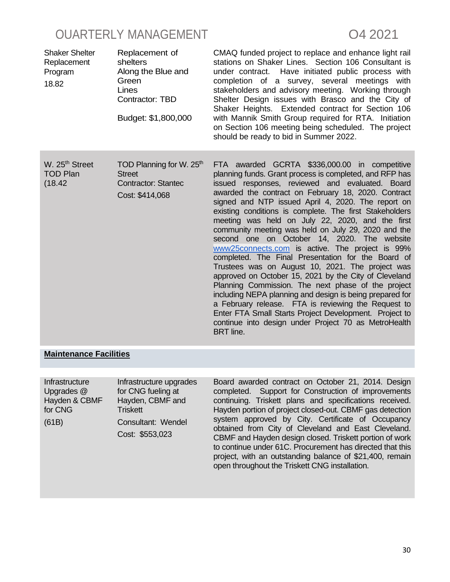| <b>Shaker Shelter</b><br>Replacement<br>Program<br>18.82 | Replacement of<br>shelters<br>Along the Blue and<br>Green<br>Lines<br>Contractor: TBD<br>Budget: \$1,800,000 | CMAQ funded project to replace and enhance light rail<br>stations on Shaker Lines. Section 106 Consultant is<br>under contract. Have initiated public process with<br>completion of a survey, several meetings with<br>stakeholders and advisory meeting. Working through<br>Shelter Design issues with Brasco and the City of<br>Shaker Heights. Extended contract for Section 106<br>with Mannik Smith Group required for RTA. Initiation<br>on Section 106 meeting being scheduled. The project<br>should be ready to bid in Summer 2022.                                                                                                                                                                                                                                                                                                                                                                                                                                                                                       |
|----------------------------------------------------------|--------------------------------------------------------------------------------------------------------------|------------------------------------------------------------------------------------------------------------------------------------------------------------------------------------------------------------------------------------------------------------------------------------------------------------------------------------------------------------------------------------------------------------------------------------------------------------------------------------------------------------------------------------------------------------------------------------------------------------------------------------------------------------------------------------------------------------------------------------------------------------------------------------------------------------------------------------------------------------------------------------------------------------------------------------------------------------------------------------------------------------------------------------|
| W. 25 <sup>th</sup> Street<br><b>TOD Plan</b><br>(18.42) | TOD Planning for W. 25th<br><b>Street</b><br><b>Contractor: Stantec</b><br>Cost: \$414,068                   | FTA awarded GCRTA \$336,000.00 in competitive<br>planning funds. Grant process is completed, and RFP has<br>issued responses, reviewed and evaluated. Board<br>awarded the contract on February 18, 2020. Contract<br>signed and NTP issued April 4, 2020. The report on<br>existing conditions is complete. The first Stakeholders<br>meeting was held on July 22, 2020, and the first<br>community meeting was held on July 29, 2020 and the<br>second one on October 14, 2020. The website<br>www25connects.com is active. The project is 99%<br>completed. The Final Presentation for the Board of<br>Trustees was on August 10, 2021. The project was<br>approved on October 15, 2021 by the City of Cleveland<br>Planning Commission. The next phase of the project<br>including NEPA planning and design is being prepared for<br>a February release. FTA is reviewing the Request to<br>Enter FTA Small Starts Project Development. Project to<br>continue into design under Project 70 as MetroHealth<br><b>BRT</b> line. |

#### **Maintenance Facilities**

| Infrastructure<br>Upgrades @ | Infrastructure upgrades<br>for CNG fueling at |
|------------------------------|-----------------------------------------------|
| Hayden & CBMF<br>for CNG     | Hayden, CBMF and<br><b>Triskett</b>           |
| (61B)                        | Consultant: Wendel                            |
|                              | Cost: \$553,023                               |
|                              |                                               |

Board awarded contract on October 21, 2014. Design completed. Support for Construction of improvements continuing. Triskett plans and specifications received. Hayden portion of project closed-out. CBMF gas detection system approved by City. Certificate of Occupancy obtained from City of Cleveland and East Cleveland. CBMF and Hayden design closed. Triskett portion of work to continue under 61C. Procurement has directed that this project, with an outstanding balance of \$21,400, remain open throughout the Triskett CNG installation.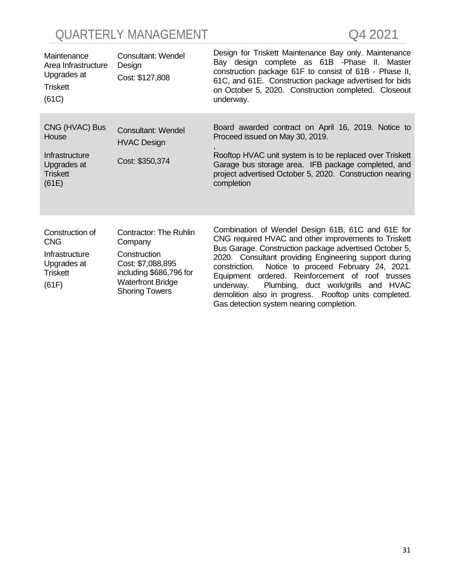| Maintenance<br>Area Infrastructure<br>Upgrades at<br><b>Triskett</b><br>(61C)              | <b>Consultant: Wendel</b><br>Design<br>Cost: \$127,808                                                                                                        | Design for Triskett Maintenance Bay only. Maintenance<br>Bay design complete as 61B - Phase II. Master<br>construction package 61F to consist of 61B - Phase II,<br>61C, and 61E. Construction package advertised for bids<br>on October 5, 2020. Construction completed. Closeout<br>underway.                                                                                                                                                                                                    |
|--------------------------------------------------------------------------------------------|---------------------------------------------------------------------------------------------------------------------------------------------------------------|----------------------------------------------------------------------------------------------------------------------------------------------------------------------------------------------------------------------------------------------------------------------------------------------------------------------------------------------------------------------------------------------------------------------------------------------------------------------------------------------------|
| CNG (HVAC) Bus<br>House<br>Infrastructure<br>Upgrades at<br><b>Triskett</b><br>(61E)       | <b>Consultant: Wendel</b><br><b>HVAC Design</b><br>Cost: \$350,374                                                                                            | Board awarded contract on April 16, 2019. Notice to<br>Proceed issued on May 30, 2019.<br>Rooftop HVAC unit system is to be replaced over Triskett<br>Garage bus storage area. IFB package completed, and<br>project advertised October 5, 2020. Construction nearing<br>completion                                                                                                                                                                                                                |
| Construction of<br><b>CNG</b><br>Infrastructure<br>Upgrades at<br><b>Triskett</b><br>(61F) | <b>Contractor: The Ruhlin</b><br>Company<br>Construction<br>Cost: \$7,088,895<br>including \$686,796 for<br><b>Waterfront Bridge</b><br><b>Shoring Towers</b> | Combination of Wendel Design 61B, 61C and 61E for<br>CNG required HVAC and other improvements to Triskett<br>Bus Garage. Construction package advertised October 5,<br>2020. Consultant providing Engineering support during<br>Notice to proceed February 24, 2021.<br>constriction.<br>Equipment ordered. Reinforcement of roof trusses<br>Plumbing, duct work/grills and HVAC<br>underway.<br>demolition also in progress. Rooftop units completed.<br>Gas detection system nearing completion. |